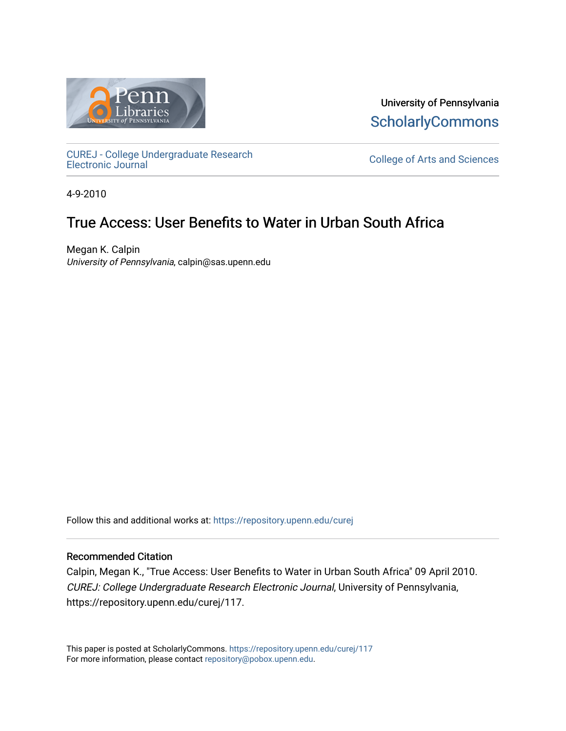

University of Pennsylvania **ScholarlyCommons** 

[CUREJ - College Undergraduate Research](https://repository.upenn.edu/curej) 

College of Arts and Sciences

4-9-2010

### True Access: User Benefits to Water in Urban South Africa

Megan K. Calpin University of Pennsylvania, calpin@sas.upenn.edu

Follow this and additional works at: [https://repository.upenn.edu/curej](https://repository.upenn.edu/curej?utm_source=repository.upenn.edu%2Fcurej%2F117&utm_medium=PDF&utm_campaign=PDFCoverPages)

#### Recommended Citation

Calpin, Megan K., "True Access: User Benefits to Water in Urban South Africa" 09 April 2010. CUREJ: College Undergraduate Research Electronic Journal, University of Pennsylvania, https://repository.upenn.edu/curej/117.

This paper is posted at ScholarlyCommons.<https://repository.upenn.edu/curej/117> For more information, please contact [repository@pobox.upenn.edu.](mailto:repository@pobox.upenn.edu)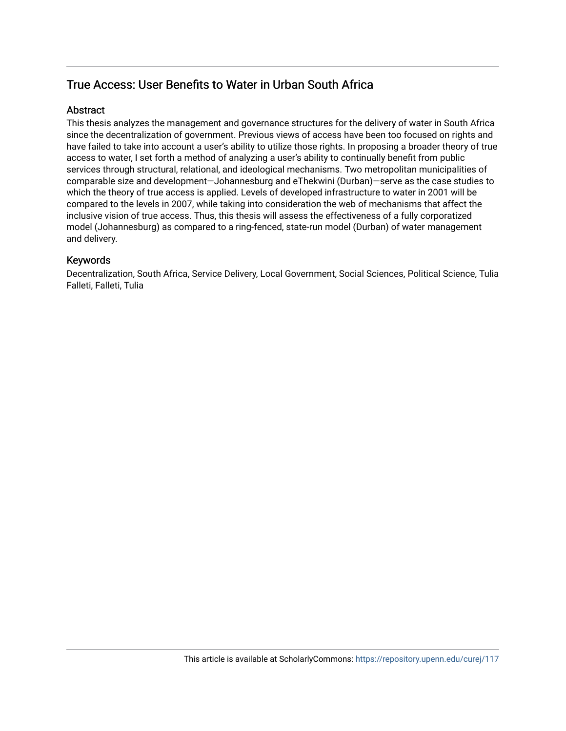### True Access: User Benefits to Water in Urban South Africa

#### **Abstract**

This thesis analyzes the management and governance structures for the delivery of water in South Africa since the decentralization of government. Previous views of access have been too focused on rights and have failed to take into account a user's ability to utilize those rights. In proposing a broader theory of true access to water, I set forth a method of analyzing a user's ability to continually benefit from public services through structural, relational, and ideological mechanisms. Two metropolitan municipalities of comparable size and development—Johannesburg and eThekwini (Durban)—serve as the case studies to which the theory of true access is applied. Levels of developed infrastructure to water in 2001 will be compared to the levels in 2007, while taking into consideration the web of mechanisms that affect the inclusive vision of true access. Thus, this thesis will assess the effectiveness of a fully corporatized model (Johannesburg) as compared to a ring-fenced, state-run model (Durban) of water management and delivery.

#### Keywords

Decentralization, South Africa, Service Delivery, Local Government, Social Sciences, Political Science, Tulia Falleti, Falleti, Tulia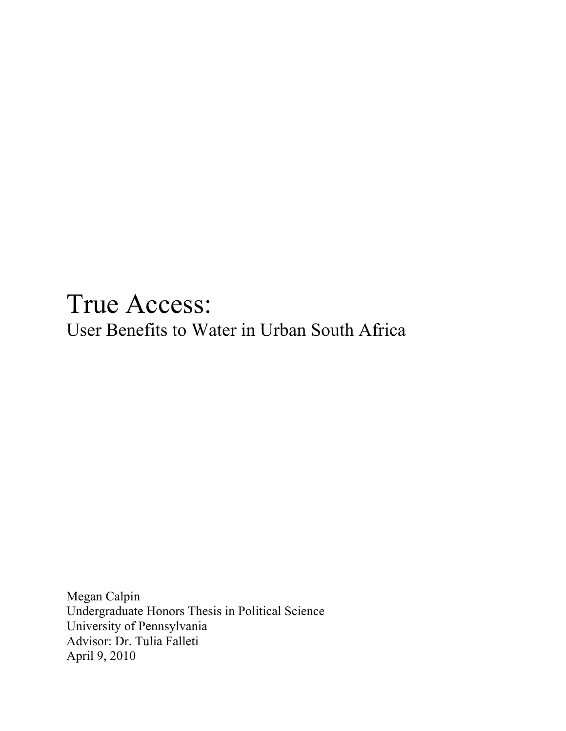# True Access: User Benefits to Water in Urban South Africa

Megan Calpin Undergraduate Honors Thesis in Political Science University of Pennsylvania Advisor: Dr. Tulia Falleti April 9, 2010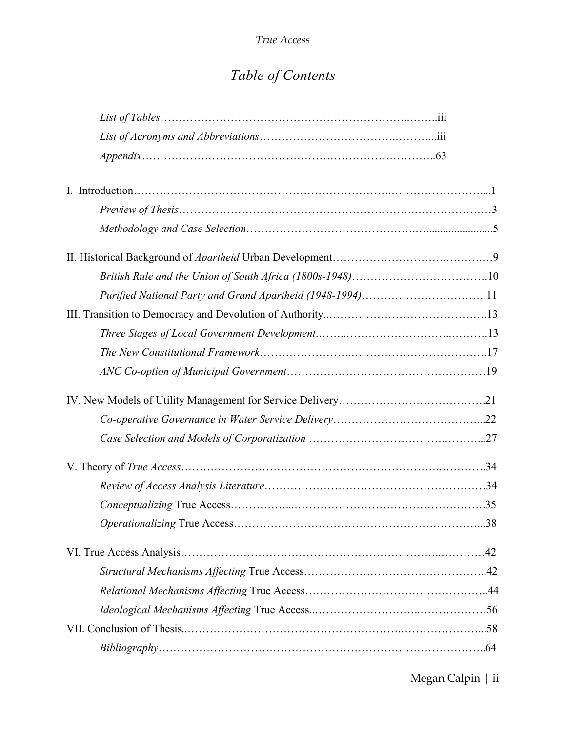# *Table of Contents*

| Purified National Party and Grand Apartheid (1948-1994)11 |  |
|-----------------------------------------------------------|--|
|                                                           |  |
|                                                           |  |
|                                                           |  |
|                                                           |  |
|                                                           |  |
|                                                           |  |
|                                                           |  |
|                                                           |  |
|                                                           |  |
|                                                           |  |
|                                                           |  |
|                                                           |  |
|                                                           |  |
|                                                           |  |
|                                                           |  |
|                                                           |  |
|                                                           |  |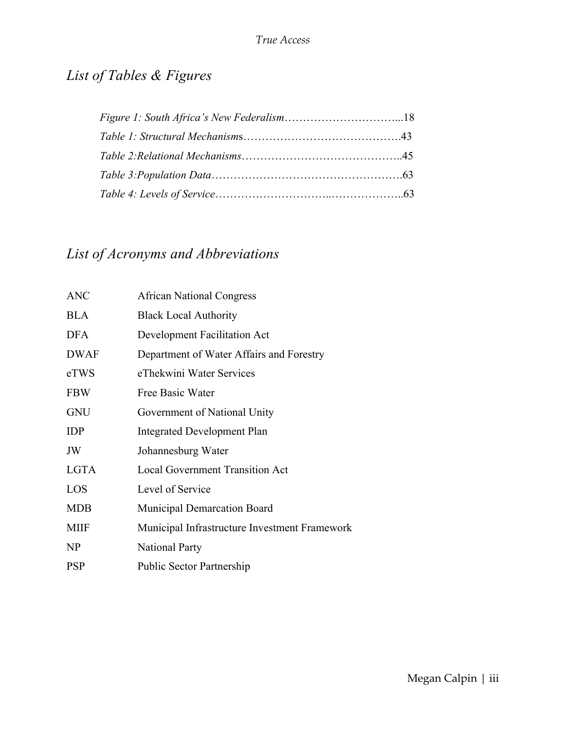# *List of Tables & Figures*

# *List of Acronyms and Abbreviations*

| <b>ANC</b>  | <b>African National Congress</b>              |
|-------------|-----------------------------------------------|
| <b>BLA</b>  | <b>Black Local Authority</b>                  |
| <b>DFA</b>  | Development Facilitation Act                  |
| <b>DWAF</b> | Department of Water Affairs and Forestry      |
| eTWS        | eThekwini Water Services                      |
| <b>FBW</b>  | Free Basic Water                              |
| <b>GNU</b>  | Government of National Unity                  |
| <b>IDP</b>  | Integrated Development Plan                   |
| JW          | Johannesburg Water                            |
| <b>LGTA</b> | <b>Local Government Transition Act</b>        |
| LOS         | Level of Service                              |
| <b>MDB</b>  | <b>Municipal Demarcation Board</b>            |
| <b>MIIF</b> | Municipal Infrastructure Investment Framework |
| NP          | <b>National Party</b>                         |
| <b>PSP</b>  | <b>Public Sector Partnership</b>              |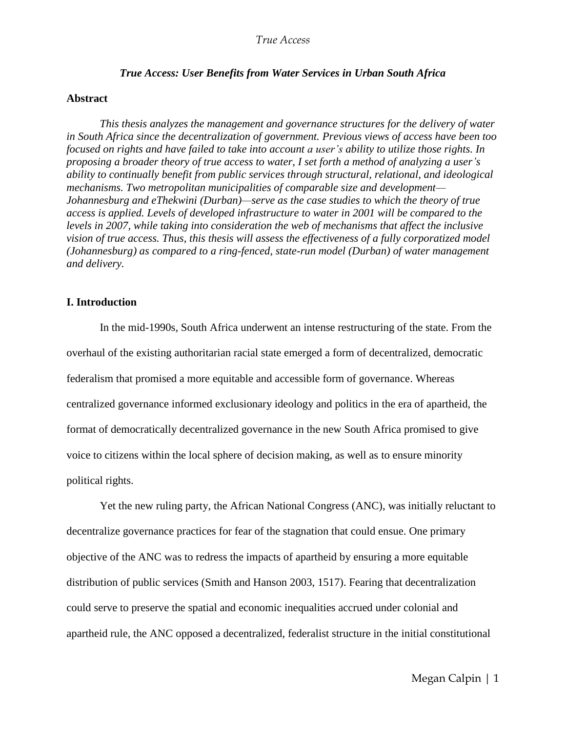#### *True Access: User Benefits from Water Services in Urban South Africa*

#### **Abstract**

*This thesis analyzes the management and governance structures for the delivery of water in South Africa since the decentralization of government. Previous views of access have been too focused on rights and have failed to take into account a user's ability to utilize those rights. In proposing a broader theory of true access to water, I set forth a method of analyzing a user's ability to continually benefit from public services through structural, relational, and ideological mechanisms. Two metropolitan municipalities of comparable size and development— Johannesburg and eThekwini (Durban)—serve as the case studies to which the theory of true access is applied. Levels of developed infrastructure to water in 2001 will be compared to the levels in 2007, while taking into consideration the web of mechanisms that affect the inclusive vision of true access. Thus, this thesis will assess the effectiveness of a fully corporatized model (Johannesburg) as compared to a ring-fenced, state-run model (Durban) of water management and delivery.*

#### **I. Introduction**

In the mid-1990s, South Africa underwent an intense restructuring of the state. From the overhaul of the existing authoritarian racial state emerged a form of decentralized, democratic federalism that promised a more equitable and accessible form of governance. Whereas centralized governance informed exclusionary ideology and politics in the era of apartheid, the format of democratically decentralized governance in the new South Africa promised to give voice to citizens within the local sphere of decision making, as well as to ensure minority political rights.

Yet the new ruling party, the African National Congress (ANC), was initially reluctant to decentralize governance practices for fear of the stagnation that could ensue. One primary objective of the ANC was to redress the impacts of apartheid by ensuring a more equitable distribution of public services (Smith and Hanson 2003, 1517). Fearing that decentralization could serve to preserve the spatial and economic inequalities accrued under colonial and apartheid rule, the ANC opposed a decentralized, federalist structure in the initial constitutional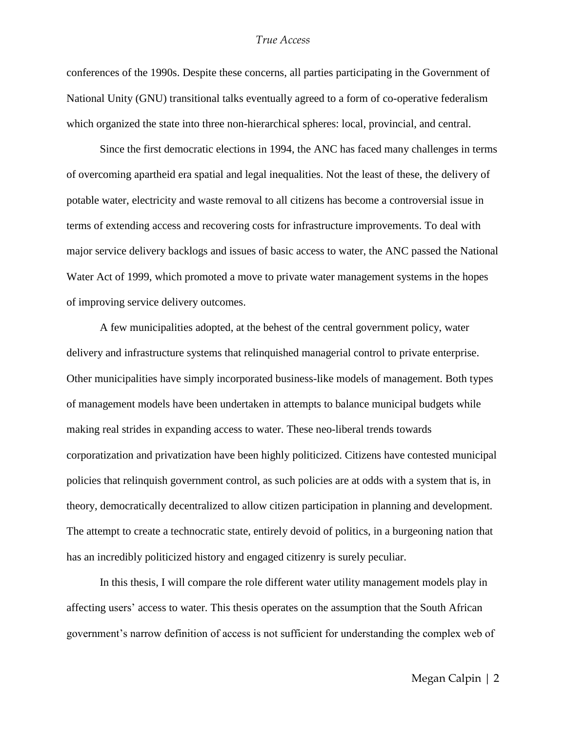conferences of the 1990s. Despite these concerns, all parties participating in the Government of National Unity (GNU) transitional talks eventually agreed to a form of co-operative federalism which organized the state into three non-hierarchical spheres: local, provincial, and central.

Since the first democratic elections in 1994, the ANC has faced many challenges in terms of overcoming apartheid era spatial and legal inequalities. Not the least of these, the delivery of potable water, electricity and waste removal to all citizens has become a controversial issue in terms of extending access and recovering costs for infrastructure improvements. To deal with major service delivery backlogs and issues of basic access to water, the ANC passed the National Water Act of 1999, which promoted a move to private water management systems in the hopes of improving service delivery outcomes.

A few municipalities adopted, at the behest of the central government policy, water delivery and infrastructure systems that relinquished managerial control to private enterprise. Other municipalities have simply incorporated business-like models of management. Both types of management models have been undertaken in attempts to balance municipal budgets while making real strides in expanding access to water. These neo-liberal trends towards corporatization and privatization have been highly politicized. Citizens have contested municipal policies that relinquish government control, as such policies are at odds with a system that is, in theory, democratically decentralized to allow citizen participation in planning and development. The attempt to create a technocratic state, entirely devoid of politics, in a burgeoning nation that has an incredibly politicized history and engaged citizenry is surely peculiar.

In this thesis, I will compare the role different water utility management models play in affecting users' access to water. This thesis operates on the assumption that the South African government's narrow definition of access is not sufficient for understanding the complex web of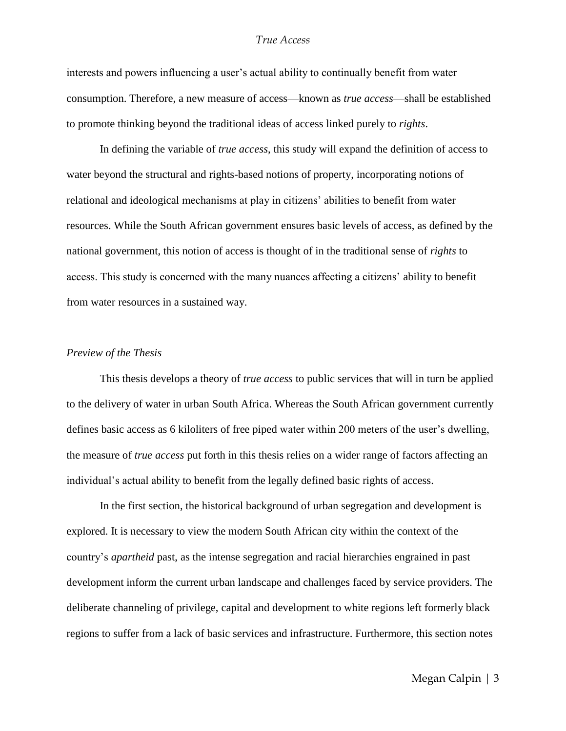interests and powers influencing a user's actual ability to continually benefit from water consumption. Therefore, a new measure of access—known as *true access*—shall be established to promote thinking beyond the traditional ideas of access linked purely to *rights*.

In defining the variable of *true access*, this study will expand the definition of access to water beyond the structural and rights-based notions of property, incorporating notions of relational and ideological mechanisms at play in citizens' abilities to benefit from water resources. While the South African government ensures basic levels of access, as defined by the national government, this notion of access is thought of in the traditional sense of *rights* to access. This study is concerned with the many nuances affecting a citizens' ability to benefit from water resources in a sustained way.

#### *Preview of the Thesis*

This thesis develops a theory of *true access* to public services that will in turn be applied to the delivery of water in urban South Africa. Whereas the South African government currently defines basic access as 6 kiloliters of free piped water within 200 meters of the user's dwelling, the measure of *true access* put forth in this thesis relies on a wider range of factors affecting an individual's actual ability to benefit from the legally defined basic rights of access.

In the first section, the historical background of urban segregation and development is explored. It is necessary to view the modern South African city within the context of the country's *apartheid* past, as the intense segregation and racial hierarchies engrained in past development inform the current urban landscape and challenges faced by service providers. The deliberate channeling of privilege, capital and development to white regions left formerly black regions to suffer from a lack of basic services and infrastructure. Furthermore, this section notes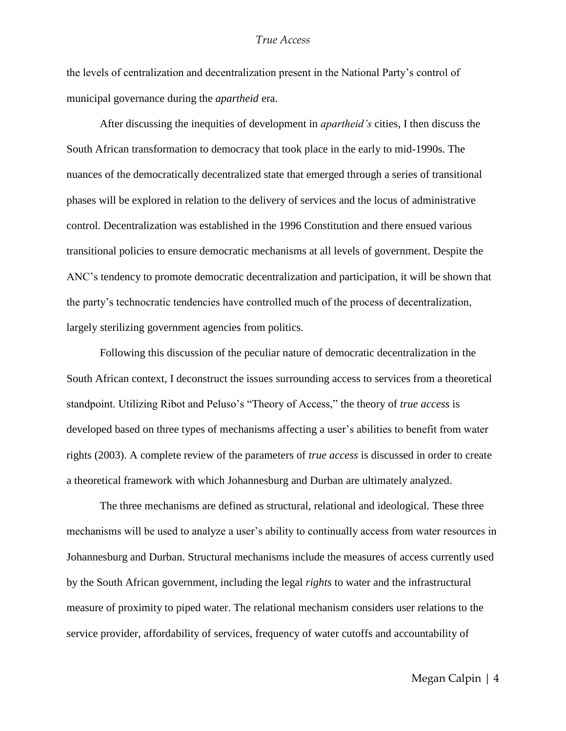the levels of centralization and decentralization present in the National Party's control of municipal governance during the *apartheid* era.

After discussing the inequities of development in *apartheid's* cities, I then discuss the South African transformation to democracy that took place in the early to mid-1990s. The nuances of the democratically decentralized state that emerged through a series of transitional phases will be explored in relation to the delivery of services and the locus of administrative control. Decentralization was established in the 1996 Constitution and there ensued various transitional policies to ensure democratic mechanisms at all levels of government. Despite the ANC's tendency to promote democratic decentralization and participation, it will be shown that the party's technocratic tendencies have controlled much of the process of decentralization, largely sterilizing government agencies from politics.

Following this discussion of the peculiar nature of democratic decentralization in the South African context, I deconstruct the issues surrounding access to services from a theoretical standpoint. Utilizing Ribot and Peluso's "Theory of Access," the theory of *true access* is developed based on three types of mechanisms affecting a user's abilities to benefit from water rights (2003). A complete review of the parameters of *true access* is discussed in order to create a theoretical framework with which Johannesburg and Durban are ultimately analyzed.

The three mechanisms are defined as structural, relational and ideological. These three mechanisms will be used to analyze a user's ability to continually access from water resources in Johannesburg and Durban. Structural mechanisms include the measures of access currently used by the South African government, including the legal *rights* to water and the infrastructural measure of proximity to piped water. The relational mechanism considers user relations to the service provider, affordability of services, frequency of water cutoffs and accountability of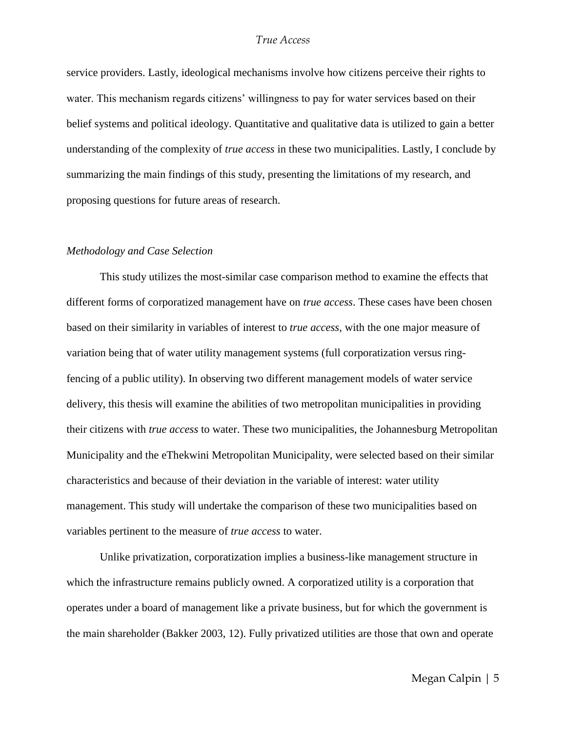service providers. Lastly, ideological mechanisms involve how citizens perceive their rights to water. This mechanism regards citizens' willingness to pay for water services based on their belief systems and political ideology. Quantitative and qualitative data is utilized to gain a better understanding of the complexity of *true access* in these two municipalities. Lastly, I conclude by summarizing the main findings of this study, presenting the limitations of my research, and proposing questions for future areas of research.

#### *Methodology and Case Selection*

This study utilizes the most-similar case comparison method to examine the effects that different forms of corporatized management have on *true access*. These cases have been chosen based on their similarity in variables of interest to *true access*, with the one major measure of variation being that of water utility management systems (full corporatization versus ringfencing of a public utility). In observing two different management models of water service delivery, this thesis will examine the abilities of two metropolitan municipalities in providing their citizens with *true access* to water. These two municipalities, the Johannesburg Metropolitan Municipality and the eThekwini Metropolitan Municipality, were selected based on their similar characteristics and because of their deviation in the variable of interest: water utility management. This study will undertake the comparison of these two municipalities based on variables pertinent to the measure of *true access* to water.

Unlike privatization, corporatization implies a business-like management structure in which the infrastructure remains publicly owned. A corporatized utility is a corporation that operates under a board of management like a private business, but for which the government is the main shareholder (Bakker 2003, 12). Fully privatized utilities are those that own and operate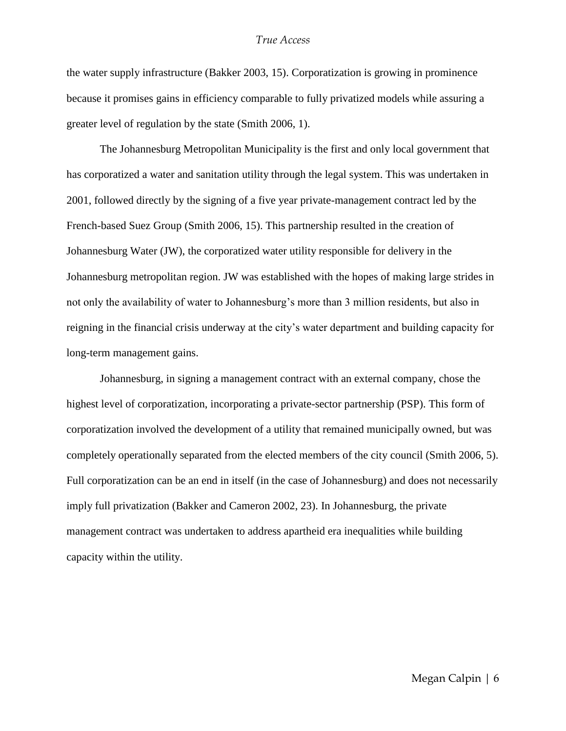the water supply infrastructure (Bakker 2003, 15). Corporatization is growing in prominence because it promises gains in efficiency comparable to fully privatized models while assuring a greater level of regulation by the state (Smith 2006, 1).

The Johannesburg Metropolitan Municipality is the first and only local government that has corporatized a water and sanitation utility through the legal system. This was undertaken in 2001, followed directly by the signing of a five year private-management contract led by the French-based Suez Group (Smith 2006, 15). This partnership resulted in the creation of Johannesburg Water (JW), the corporatized water utility responsible for delivery in the Johannesburg metropolitan region. JW was established with the hopes of making large strides in not only the availability of water to Johannesburg's more than 3 million residents, but also in reigning in the financial crisis underway at the city's water department and building capacity for long-term management gains.

Johannesburg, in signing a management contract with an external company, chose the highest level of corporatization, incorporating a private-sector partnership (PSP). This form of corporatization involved the development of a utility that remained municipally owned, but was completely operationally separated from the elected members of the city council (Smith 2006, 5). Full corporatization can be an end in itself (in the case of Johannesburg) and does not necessarily imply full privatization (Bakker and Cameron 2002, 23). In Johannesburg, the private management contract was undertaken to address apartheid era inequalities while building capacity within the utility.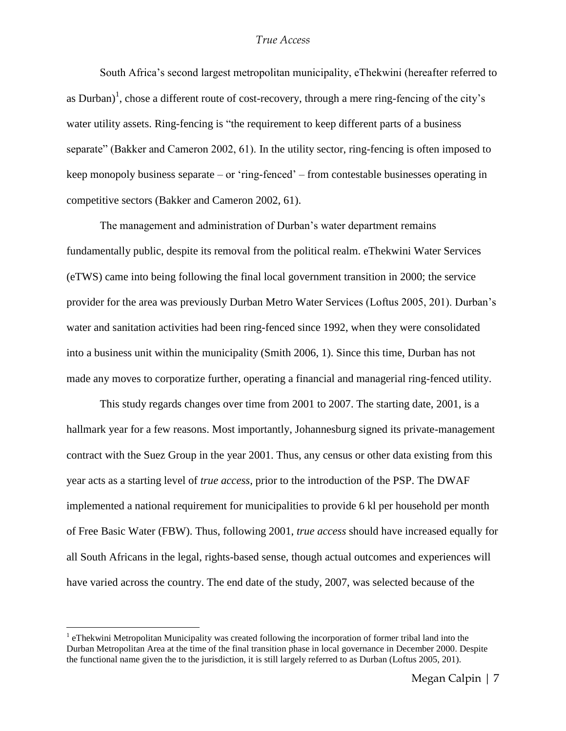South Africa's second largest metropolitan municipality, eThekwini (hereafter referred to as Durban)<sup>1</sup>, chose a different route of cost-recovery, through a mere ring-fencing of the city's water utility assets. Ring-fencing is "the requirement to keep different parts of a business" separate" (Bakker and Cameron 2002, 61). In the utility sector, ring-fencing is often imposed to keep monopoly business separate – or 'ring-fenced' – from contestable businesses operating in competitive sectors (Bakker and Cameron 2002, 61).

The management and administration of Durban's water department remains fundamentally public, despite its removal from the political realm. eThekwini Water Services (eTWS) came into being following the final local government transition in 2000; the service provider for the area was previously Durban Metro Water Services (Loftus 2005, 201). Durban's water and sanitation activities had been ring-fenced since 1992, when they were consolidated into a business unit within the municipality (Smith 2006, 1). Since this time, Durban has not made any moves to corporatize further, operating a financial and managerial ring-fenced utility.

This study regards changes over time from 2001 to 2007. The starting date, 2001, is a hallmark year for a few reasons. Most importantly, Johannesburg signed its private-management contract with the Suez Group in the year 2001. Thus, any census or other data existing from this year acts as a starting level of *true access*, prior to the introduction of the PSP. The DWAF implemented a national requirement for municipalities to provide 6 kl per household per month of Free Basic Water (FBW). Thus, following 2001, *true access* should have increased equally for all South Africans in the legal, rights-based sense, though actual outcomes and experiences will have varied across the country. The end date of the study, 2007, was selected because of the

 $\overline{a}$ 

<sup>&</sup>lt;sup>1</sup> eThekwini Metropolitan Municipality was created following the incorporation of former tribal land into the Durban Metropolitan Area at the time of the final transition phase in local governance in December 2000. Despite the functional name given the to the jurisdiction, it is still largely referred to as Durban (Loftus 2005, 201).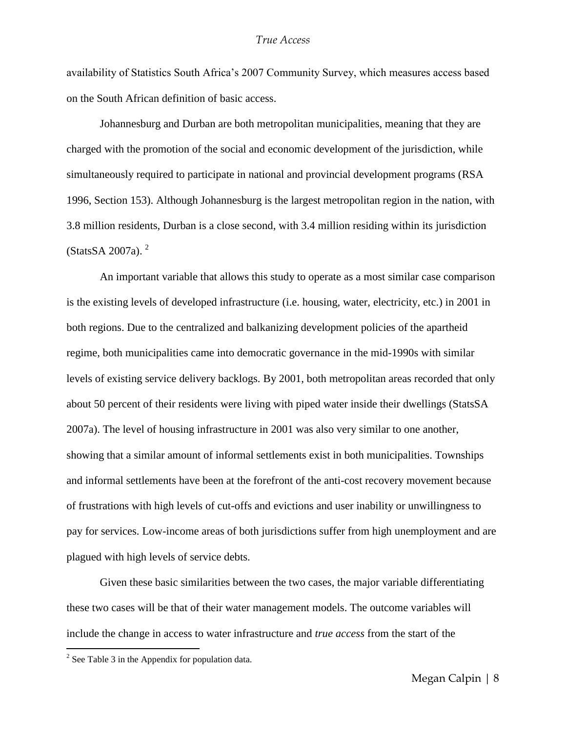availability of Statistics South Africa's 2007 Community Survey, which measures access based on the South African definition of basic access.

Johannesburg and Durban are both metropolitan municipalities, meaning that they are charged with the promotion of the social and economic development of the jurisdiction, while simultaneously required to participate in national and provincial development programs (RSA 1996, Section 153). Although Johannesburg is the largest metropolitan region in the nation, with 3.8 million residents, Durban is a close second, with 3.4 million residing within its jurisdiction  $(StatsSA 2007a)$ .<sup>2</sup>

An important variable that allows this study to operate as a most similar case comparison is the existing levels of developed infrastructure (i.e. housing, water, electricity, etc.) in 2001 in both regions. Due to the centralized and balkanizing development policies of the apartheid regime, both municipalities came into democratic governance in the mid-1990s with similar levels of existing service delivery backlogs. By 2001, both metropolitan areas recorded that only about 50 percent of their residents were living with piped water inside their dwellings (StatsSA 2007a). The level of housing infrastructure in 2001 was also very similar to one another, showing that a similar amount of informal settlements exist in both municipalities. Townships and informal settlements have been at the forefront of the anti-cost recovery movement because of frustrations with high levels of cut-offs and evictions and user inability or unwillingness to pay for services. Low-income areas of both jurisdictions suffer from high unemployment and are plagued with high levels of service debts.

Given these basic similarities between the two cases, the major variable differentiating these two cases will be that of their water management models. The outcome variables will include the change in access to water infrastructure and *true access* from the start of the

 $\overline{a}$ 

 $2^2$  See Table 3 in the Appendix for population data.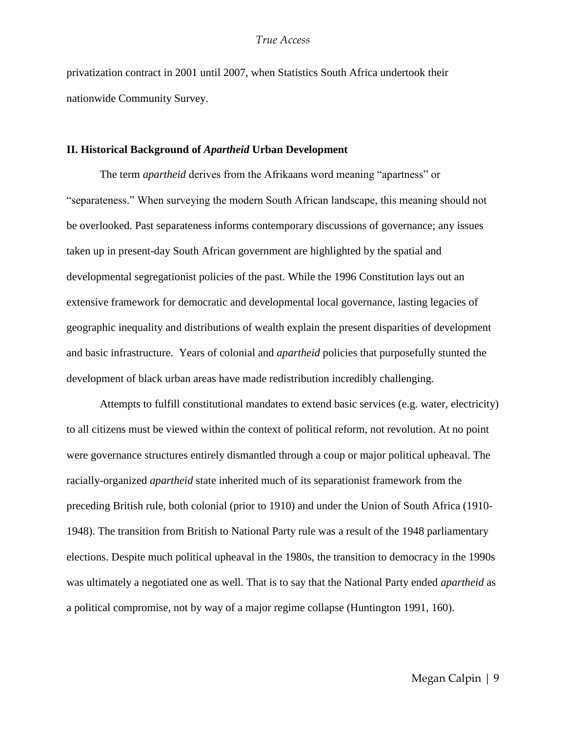privatization contract in 2001 until 2007, when Statistics South Africa undertook their nationwide Community Survey.

#### **II. Historical Background of** *Apartheid* **Urban Development**

The term *apartheid* derives from the Afrikaans word meaning "apartness" or ―separateness.‖ When surveying the modern South African landscape, this meaning should not be overlooked. Past separateness informs contemporary discussions of governance; any issues taken up in present-day South African government are highlighted by the spatial and developmental segregationist policies of the past. While the 1996 Constitution lays out an extensive framework for democratic and developmental local governance, lasting legacies of geographic inequality and distributions of wealth explain the present disparities of development and basic infrastructure. Years of colonial and *apartheid* policies that purposefully stunted the development of black urban areas have made redistribution incredibly challenging.

Attempts to fulfill constitutional mandates to extend basic services (e.g. water, electricity) to all citizens must be viewed within the context of political reform, not revolution. At no point were governance structures entirely dismantled through a coup or major political upheaval. The racially-organized *apartheid* state inherited much of its separationist framework from the preceding British rule, both colonial (prior to 1910) and under the Union of South Africa (1910- 1948). The transition from British to National Party rule was a result of the 1948 parliamentary elections. Despite much political upheaval in the 1980s, the transition to democracy in the 1990s was ultimately a negotiated one as well. That is to say that the National Party ended *apartheid* as a political compromise, not by way of a major regime collapse (Huntington 1991, 160).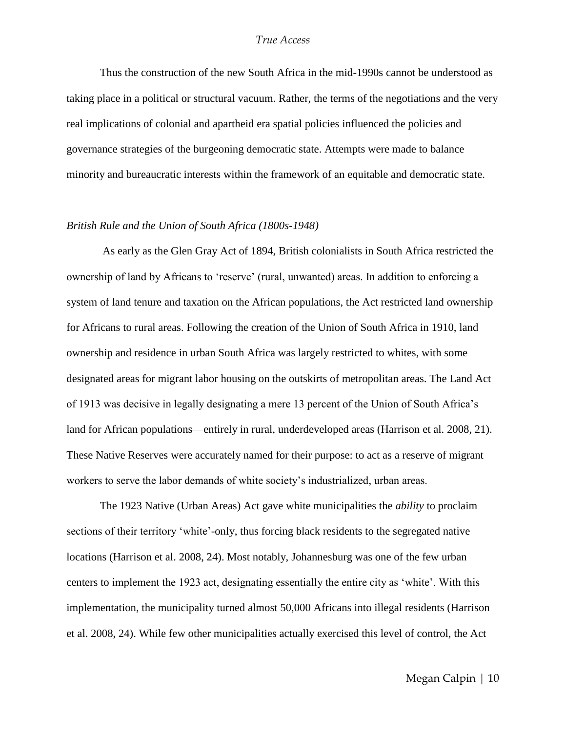Thus the construction of the new South Africa in the mid-1990s cannot be understood as taking place in a political or structural vacuum. Rather, the terms of the negotiations and the very real implications of colonial and apartheid era spatial policies influenced the policies and governance strategies of the burgeoning democratic state. Attempts were made to balance minority and bureaucratic interests within the framework of an equitable and democratic state.

#### *British Rule and the Union of South Africa (1800s-1948)*

As early as the Glen Gray Act of 1894, British colonialists in South Africa restricted the ownership of land by Africans to 'reserve' (rural, unwanted) areas. In addition to enforcing a system of land tenure and taxation on the African populations, the Act restricted land ownership for Africans to rural areas. Following the creation of the Union of South Africa in 1910, land ownership and residence in urban South Africa was largely restricted to whites, with some designated areas for migrant labor housing on the outskirts of metropolitan areas. The Land Act of 1913 was decisive in legally designating a mere 13 percent of the Union of South Africa's land for African populations—entirely in rural, underdeveloped areas (Harrison et al. 2008, 21). These Native Reserves were accurately named for their purpose: to act as a reserve of migrant workers to serve the labor demands of white society's industrialized, urban areas.

The 1923 Native (Urban Areas) Act gave white municipalities the *ability* to proclaim sections of their territory 'white'-only, thus forcing black residents to the segregated native locations (Harrison et al. 2008, 24). Most notably, Johannesburg was one of the few urban centers to implement the 1923 act, designating essentially the entire city as 'white'. With this implementation, the municipality turned almost 50,000 Africans into illegal residents (Harrison et al. 2008, 24). While few other municipalities actually exercised this level of control, the Act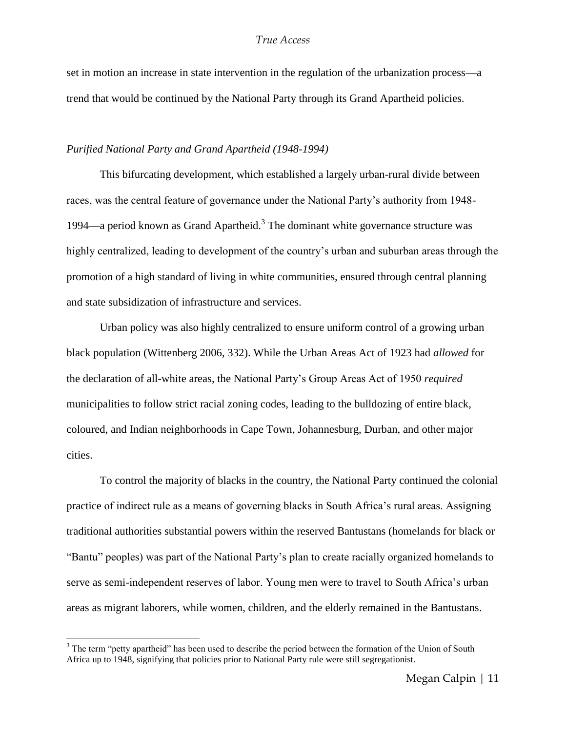set in motion an increase in state intervention in the regulation of the urbanization process—a trend that would be continued by the National Party through its Grand Apartheid policies.

#### *Purified National Party and Grand Apartheid (1948-1994)*

This bifurcating development, which established a largely urban-rural divide between races, was the central feature of governance under the National Party's authority from 1948- 1994—a period known as Grand Apartheid. $3$  The dominant white governance structure was highly centralized, leading to development of the country's urban and suburban areas through the promotion of a high standard of living in white communities, ensured through central planning and state subsidization of infrastructure and services.

Urban policy was also highly centralized to ensure uniform control of a growing urban black population (Wittenberg 2006, 332). While the Urban Areas Act of 1923 had *allowed* for the declaration of all-white areas, the National Party's Group Areas Act of 1950 *required* municipalities to follow strict racial zoning codes, leading to the bulldozing of entire black, coloured, and Indian neighborhoods in Cape Town, Johannesburg, Durban, and other major cities.

To control the majority of blacks in the country, the National Party continued the colonial practice of indirect rule as a means of governing blacks in South Africa's rural areas. Assigning traditional authorities substantial powers within the reserved Bantustans (homelands for black or ―Bantu‖ peoples) was part of the National Party's plan to create racially organized homelands to serve as semi-independent reserves of labor. Young men were to travel to South Africa's urban areas as migrant laborers, while women, children, and the elderly remained in the Bantustans.

 $\overline{a}$ 

<sup>&</sup>lt;sup>3</sup> The term "petty apartheid" has been used to describe the period between the formation of the Union of South Africa up to 1948, signifying that policies prior to National Party rule were still segregationist.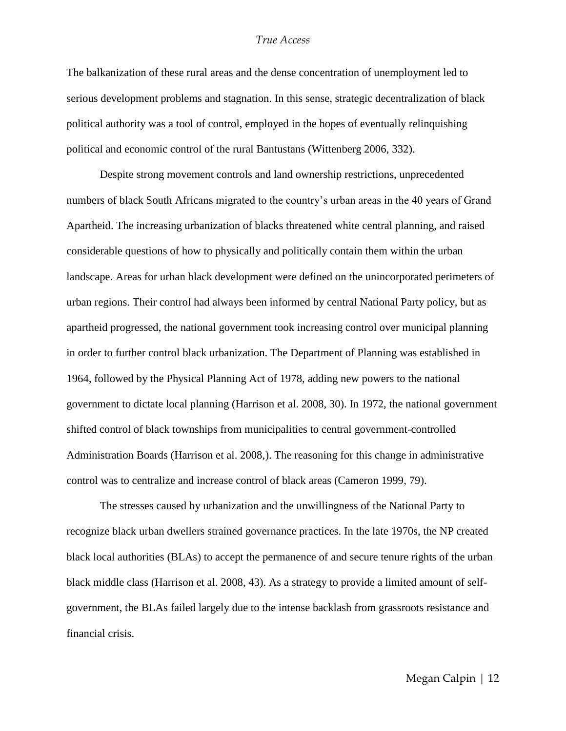The balkanization of these rural areas and the dense concentration of unemployment led to serious development problems and stagnation. In this sense, strategic decentralization of black political authority was a tool of control, employed in the hopes of eventually relinquishing political and economic control of the rural Bantustans (Wittenberg 2006, 332).

Despite strong movement controls and land ownership restrictions, unprecedented numbers of black South Africans migrated to the country's urban areas in the 40 years of Grand Apartheid. The increasing urbanization of blacks threatened white central planning, and raised considerable questions of how to physically and politically contain them within the urban landscape. Areas for urban black development were defined on the unincorporated perimeters of urban regions. Their control had always been informed by central National Party policy, but as apartheid progressed, the national government took increasing control over municipal planning in order to further control black urbanization. The Department of Planning was established in 1964, followed by the Physical Planning Act of 1978, adding new powers to the national government to dictate local planning (Harrison et al. 2008, 30). In 1972, the national government shifted control of black townships from municipalities to central government-controlled Administration Boards (Harrison et al. 2008,). The reasoning for this change in administrative control was to centralize and increase control of black areas (Cameron 1999, 79).

The stresses caused by urbanization and the unwillingness of the National Party to recognize black urban dwellers strained governance practices. In the late 1970s, the NP created black local authorities (BLAs) to accept the permanence of and secure tenure rights of the urban black middle class (Harrison et al. 2008, 43). As a strategy to provide a limited amount of selfgovernment, the BLAs failed largely due to the intense backlash from grassroots resistance and financial crisis.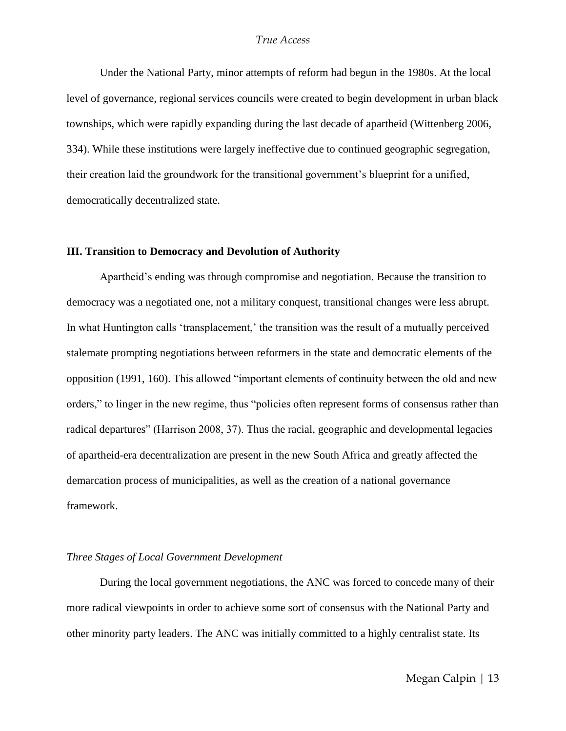Under the National Party, minor attempts of reform had begun in the 1980s. At the local level of governance, regional services councils were created to begin development in urban black townships, which were rapidly expanding during the last decade of apartheid (Wittenberg 2006, 334). While these institutions were largely ineffective due to continued geographic segregation, their creation laid the groundwork for the transitional government's blueprint for a unified, democratically decentralized state.

#### **III. Transition to Democracy and Devolution of Authority**

Apartheid's ending was through compromise and negotiation. Because the transition to democracy was a negotiated one, not a military conquest, transitional changes were less abrupt. In what Huntington calls 'transplacement,' the transition was the result of a mutually perceived stalemate prompting negotiations between reformers in the state and democratic elements of the opposition (1991, 160). This allowed "important elements of continuity between the old and new orders," to linger in the new regime, thus "policies often represent forms of consensus rather than radical departures" (Harrison 2008, 37). Thus the racial, geographic and developmental legacies of apartheid-era decentralization are present in the new South Africa and greatly affected the demarcation process of municipalities, as well as the creation of a national governance framework.

#### *Three Stages of Local Government Development*

During the local government negotiations, the ANC was forced to concede many of their more radical viewpoints in order to achieve some sort of consensus with the National Party and other minority party leaders. The ANC was initially committed to a highly centralist state. Its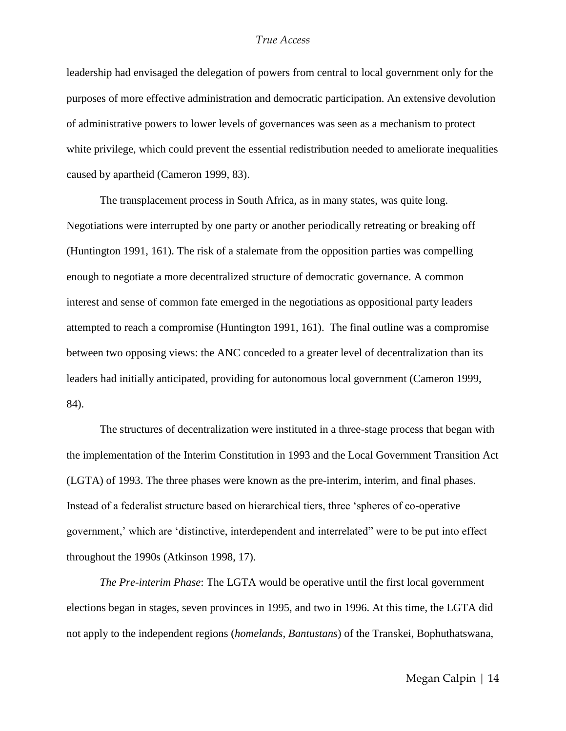leadership had envisaged the delegation of powers from central to local government only for the purposes of more effective administration and democratic participation. An extensive devolution of administrative powers to lower levels of governances was seen as a mechanism to protect white privilege, which could prevent the essential redistribution needed to ameliorate inequalities caused by apartheid (Cameron 1999, 83).

The transplacement process in South Africa, as in many states, was quite long. Negotiations were interrupted by one party or another periodically retreating or breaking off (Huntington 1991, 161). The risk of a stalemate from the opposition parties was compelling enough to negotiate a more decentralized structure of democratic governance. A common interest and sense of common fate emerged in the negotiations as oppositional party leaders attempted to reach a compromise (Huntington 1991, 161). The final outline was a compromise between two opposing views: the ANC conceded to a greater level of decentralization than its leaders had initially anticipated, providing for autonomous local government (Cameron 1999, 84).

The structures of decentralization were instituted in a three-stage process that began with the implementation of the Interim Constitution in 1993 and the Local Government Transition Act (LGTA) of 1993. The three phases were known as the pre-interim, interim, and final phases. Instead of a federalist structure based on hierarchical tiers, three 'spheres of co-operative government,' which are ‗distinctive, interdependent and interrelated‖ were to be put into effect throughout the 1990s (Atkinson 1998, 17).

*The Pre-interim Phase*: The LGTA would be operative until the first local government elections began in stages, seven provinces in 1995, and two in 1996. At this time, the LGTA did not apply to the independent regions (*homelands, Bantustans*) of the Transkei, Bophuthatswana,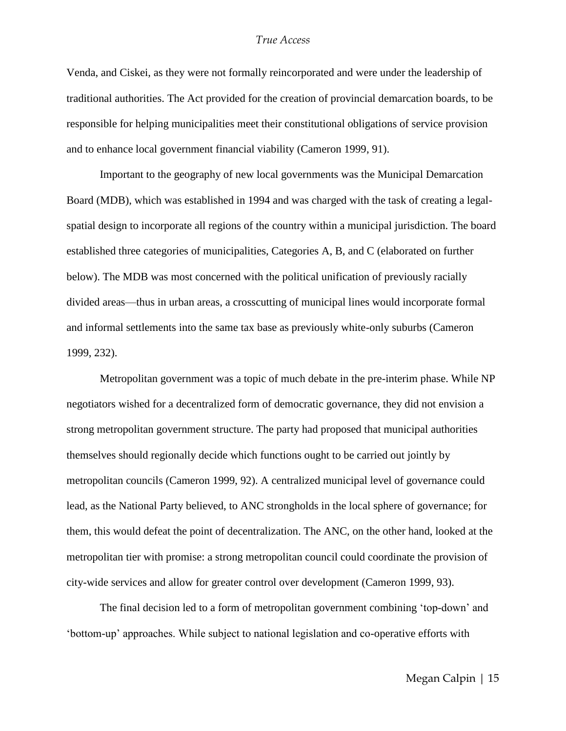Venda, and Ciskei, as they were not formally reincorporated and were under the leadership of traditional authorities. The Act provided for the creation of provincial demarcation boards, to be responsible for helping municipalities meet their constitutional obligations of service provision and to enhance local government financial viability (Cameron 1999, 91).

Important to the geography of new local governments was the Municipal Demarcation Board (MDB), which was established in 1994 and was charged with the task of creating a legalspatial design to incorporate all regions of the country within a municipal jurisdiction. The board established three categories of municipalities, Categories A, B, and C (elaborated on further below). The MDB was most concerned with the political unification of previously racially divided areas—thus in urban areas, a crosscutting of municipal lines would incorporate formal and informal settlements into the same tax base as previously white-only suburbs (Cameron 1999, 232).

Metropolitan government was a topic of much debate in the pre-interim phase. While NP negotiators wished for a decentralized form of democratic governance, they did not envision a strong metropolitan government structure. The party had proposed that municipal authorities themselves should regionally decide which functions ought to be carried out jointly by metropolitan councils (Cameron 1999, 92). A centralized municipal level of governance could lead, as the National Party believed, to ANC strongholds in the local sphere of governance; for them, this would defeat the point of decentralization. The ANC, on the other hand, looked at the metropolitan tier with promise: a strong metropolitan council could coordinate the provision of city-wide services and allow for greater control over development (Cameron 1999, 93).

The final decision led to a form of metropolitan government combining ‗top-down' and ‗bottom-up' approaches. While subject to national legislation and co-operative efforts with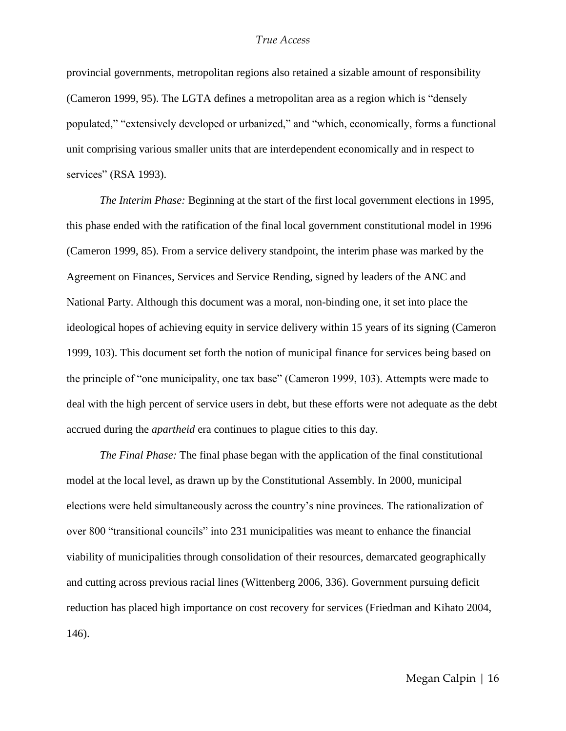provincial governments, metropolitan regions also retained a sizable amount of responsibility (Cameron 1999, 95). The LGTA defines a metropolitan area as a region which is "densely populated," "extensively developed or urbanized," and "which, economically, forms a functional unit comprising various smaller units that are interdependent economically and in respect to services" (RSA 1993).

*The Interim Phase:* Beginning at the start of the first local government elections in 1995, this phase ended with the ratification of the final local government constitutional model in 1996 (Cameron 1999, 85). From a service delivery standpoint, the interim phase was marked by the Agreement on Finances, Services and Service Rending, signed by leaders of the ANC and National Party. Although this document was a moral, non-binding one, it set into place the ideological hopes of achieving equity in service delivery within 15 years of its signing (Cameron 1999, 103). This document set forth the notion of municipal finance for services being based on the principle of "one municipality, one tax base" (Cameron 1999, 103). Attempts were made to deal with the high percent of service users in debt, but these efforts were not adequate as the debt accrued during the *apartheid* era continues to plague cities to this day.

*The Final Phase:* The final phase began with the application of the final constitutional model at the local level, as drawn up by the Constitutional Assembly. In 2000, municipal elections were held simultaneously across the country's nine provinces. The rationalization of over 800 "transitional councils" into 231 municipalities was meant to enhance the financial viability of municipalities through consolidation of their resources, demarcated geographically and cutting across previous racial lines (Wittenberg 2006, 336). Government pursuing deficit reduction has placed high importance on cost recovery for services (Friedman and Kihato 2004, 146).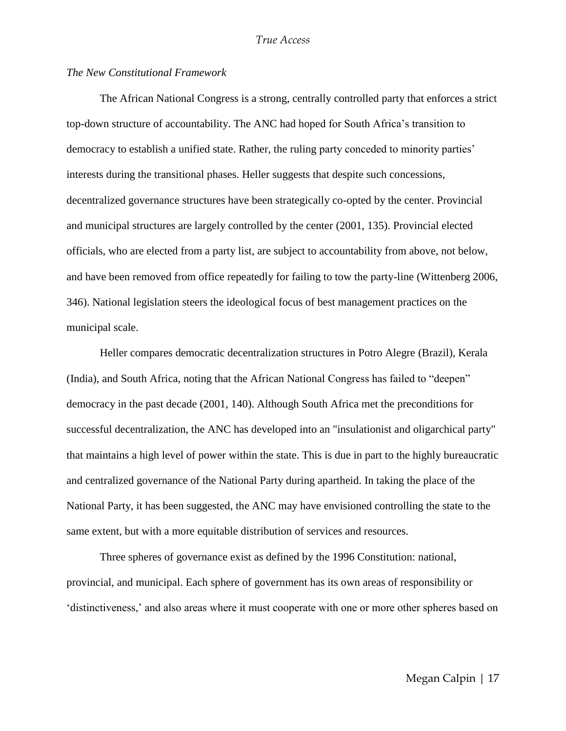#### *The New Constitutional Framework*

The African National Congress is a strong, centrally controlled party that enforces a strict top-down structure of accountability. The ANC had hoped for South Africa's transition to democracy to establish a unified state. Rather, the ruling party conceded to minority parties' interests during the transitional phases. Heller suggests that despite such concessions, decentralized governance structures have been strategically co-opted by the center. Provincial and municipal structures are largely controlled by the center (2001, 135). Provincial elected officials, who are elected from a party list, are subject to accountability from above, not below, and have been removed from office repeatedly for failing to tow the party-line (Wittenberg 2006, 346). National legislation steers the ideological focus of best management practices on the municipal scale.

Heller compares democratic decentralization structures in Potro Alegre (Brazil), Kerala (India), and South Africa, noting that the African National Congress has failed to "deepen" democracy in the past decade (2001, 140). Although South Africa met the preconditions for successful decentralization, the ANC has developed into an "insulationist and oligarchical party" that maintains a high level of power within the state. This is due in part to the highly bureaucratic and centralized governance of the National Party during apartheid. In taking the place of the National Party, it has been suggested, the ANC may have envisioned controlling the state to the same extent, but with a more equitable distribution of services and resources.

Three spheres of governance exist as defined by the 1996 Constitution: national, provincial, and municipal. Each sphere of government has its own areas of responsibility or ‗distinctiveness,' and also areas where it must cooperate with one or more other spheres based on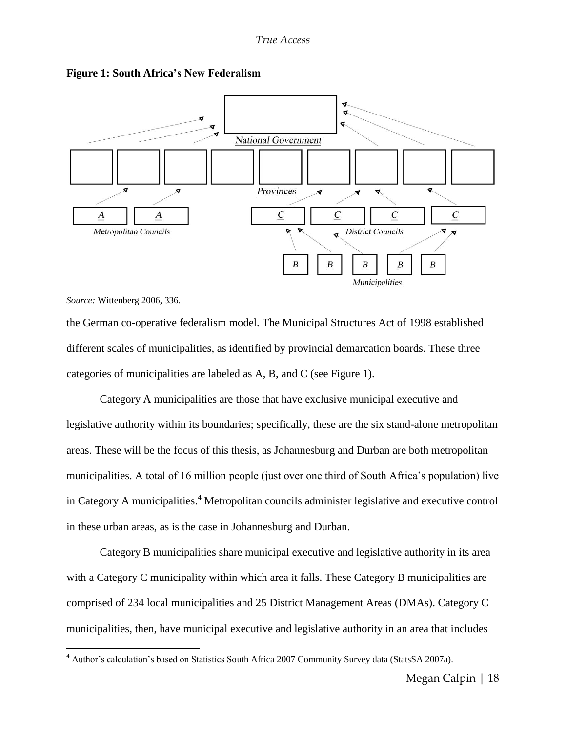

#### **Figure 1: South Africa's New Federalism**

*Source:* Wittenberg 2006, 336.

 $\overline{a}$ 

the German co-operative federalism model. The Municipal Structures Act of 1998 established different scales of municipalities, as identified by provincial demarcation boards. These three categories of municipalities are labeled as A, B, and C (see Figure 1).

Category A municipalities are those that have exclusive municipal executive and legislative authority within its boundaries; specifically, these are the six stand-alone metropolitan areas. These will be the focus of this thesis, as Johannesburg and Durban are both metropolitan municipalities. A total of 16 million people (just over one third of South Africa's population) live in Category A municipalities. <sup>4</sup> Metropolitan councils administer legislative and executive control in these urban areas, as is the case in Johannesburg and Durban.

Category B municipalities share municipal executive and legislative authority in its area with a Category C municipality within which area it falls. These Category B municipalities are comprised of 234 local municipalities and 25 District Management Areas (DMAs). Category C municipalities, then, have municipal executive and legislative authority in an area that includes

<sup>4</sup> Author's calculation's based on Statistics South Africa 2007 Community Survey data (StatsSA 2007a).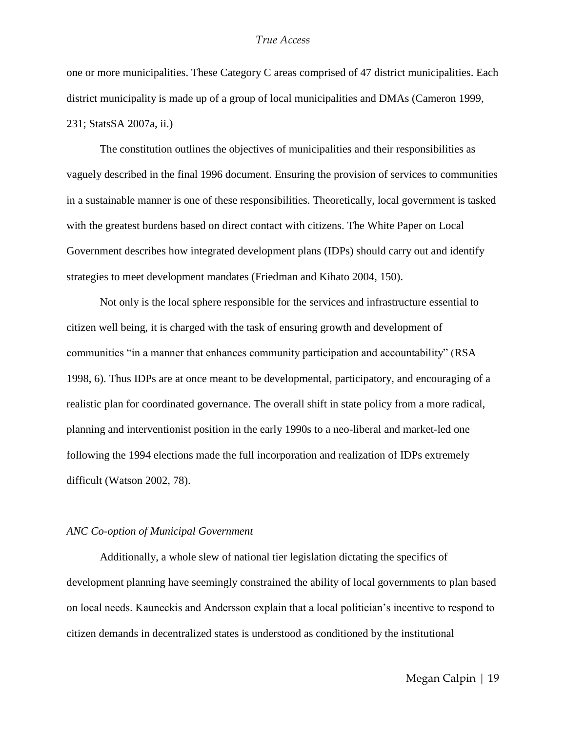one or more municipalities. These Category C areas comprised of 47 district municipalities. Each district municipality is made up of a group of local municipalities and DMAs (Cameron 1999, 231; StatsSA 2007a, ii.)

The constitution outlines the objectives of municipalities and their responsibilities as vaguely described in the final 1996 document. Ensuring the provision of services to communities in a sustainable manner is one of these responsibilities. Theoretically, local government is tasked with the greatest burdens based on direct contact with citizens. The White Paper on Local Government describes how integrated development plans (IDPs) should carry out and identify strategies to meet development mandates (Friedman and Kihato 2004, 150).

Not only is the local sphere responsible for the services and infrastructure essential to citizen well being, it is charged with the task of ensuring growth and development of communities "in a manner that enhances community participation and accountability" (RSA 1998, 6). Thus IDPs are at once meant to be developmental, participatory, and encouraging of a realistic plan for coordinated governance. The overall shift in state policy from a more radical, planning and interventionist position in the early 1990s to a neo-liberal and market-led one following the 1994 elections made the full incorporation and realization of IDPs extremely difficult (Watson 2002, 78).

#### *ANC Co-option of Municipal Government*

Additionally, a whole slew of national tier legislation dictating the specifics of development planning have seemingly constrained the ability of local governments to plan based on local needs. Kauneckis and Andersson explain that a local politician's incentive to respond to citizen demands in decentralized states is understood as conditioned by the institutional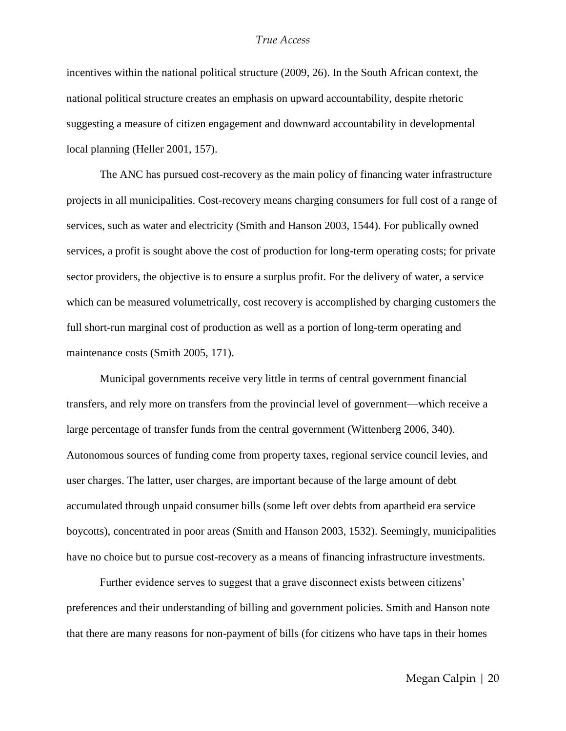incentives within the national political structure (2009, 26). In the South African context, the national political structure creates an emphasis on upward accountability, despite rhetoric suggesting a measure of citizen engagement and downward accountability in developmental local planning (Heller 2001, 157).

The ANC has pursued cost-recovery as the main policy of financing water infrastructure projects in all municipalities. Cost-recovery means charging consumers for full cost of a range of services, such as water and electricity (Smith and Hanson 2003, 1544). For publically owned services, a profit is sought above the cost of production for long-term operating costs; for private sector providers, the objective is to ensure a surplus profit. For the delivery of water, a service which can be measured volumetrically, cost recovery is accomplished by charging customers the full short-run marginal cost of production as well as a portion of long-term operating and maintenance costs (Smith 2005, 171).

Municipal governments receive very little in terms of central government financial transfers, and rely more on transfers from the provincial level of government—which receive a large percentage of transfer funds from the central government (Wittenberg 2006, 340). Autonomous sources of funding come from property taxes, regional service council levies, and user charges. The latter, user charges, are important because of the large amount of debt accumulated through unpaid consumer bills (some left over debts from apartheid era service boycotts), concentrated in poor areas (Smith and Hanson 2003, 1532). Seemingly, municipalities have no choice but to pursue cost-recovery as a means of financing infrastructure investments.

Further evidence serves to suggest that a grave disconnect exists between citizens' preferences and their understanding of billing and government policies. Smith and Hanson note that there are many reasons for non-payment of bills (for citizens who have taps in their homes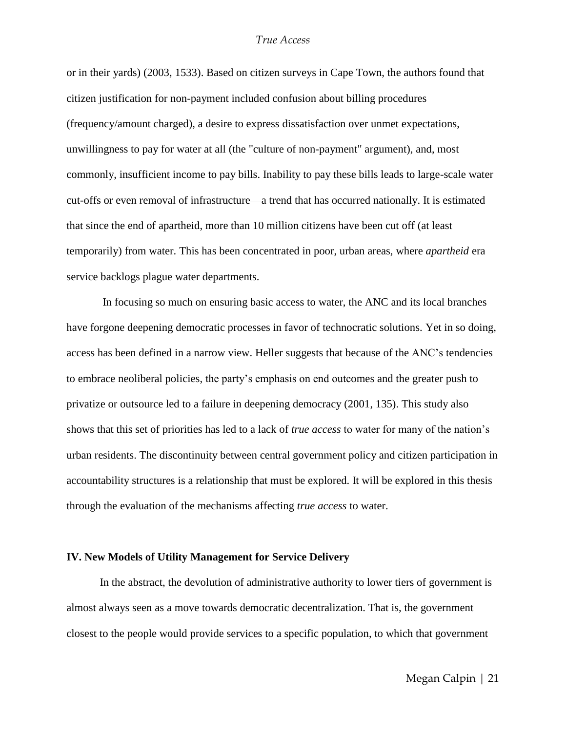or in their yards) (2003, 1533). Based on citizen surveys in Cape Town, the authors found that citizen justification for non-payment included confusion about billing procedures (frequency/amount charged), a desire to express dissatisfaction over unmet expectations, unwillingness to pay for water at all (the "culture of non-payment" argument), and, most commonly, insufficient income to pay bills. Inability to pay these bills leads to large-scale water cut-offs or even removal of infrastructure—a trend that has occurred nationally. It is estimated that since the end of apartheid, more than 10 million citizens have been cut off (at least temporarily) from water. This has been concentrated in poor, urban areas, where *apartheid* era service backlogs plague water departments.

In focusing so much on ensuring basic access to water, the ANC and its local branches have forgone deepening democratic processes in favor of technocratic solutions. Yet in so doing, access has been defined in a narrow view. Heller suggests that because of the ANC's tendencies to embrace neoliberal policies, the party's emphasis on end outcomes and the greater push to privatize or outsource led to a failure in deepening democracy (2001, 135). This study also shows that this set of priorities has led to a lack of *true access* to water for many of the nation's urban residents. The discontinuity between central government policy and citizen participation in accountability structures is a relationship that must be explored. It will be explored in this thesis through the evaluation of the mechanisms affecting *true access* to water.

#### **IV. New Models of Utility Management for Service Delivery**

In the abstract, the devolution of administrative authority to lower tiers of government is almost always seen as a move towards democratic decentralization. That is, the government closest to the people would provide services to a specific population, to which that government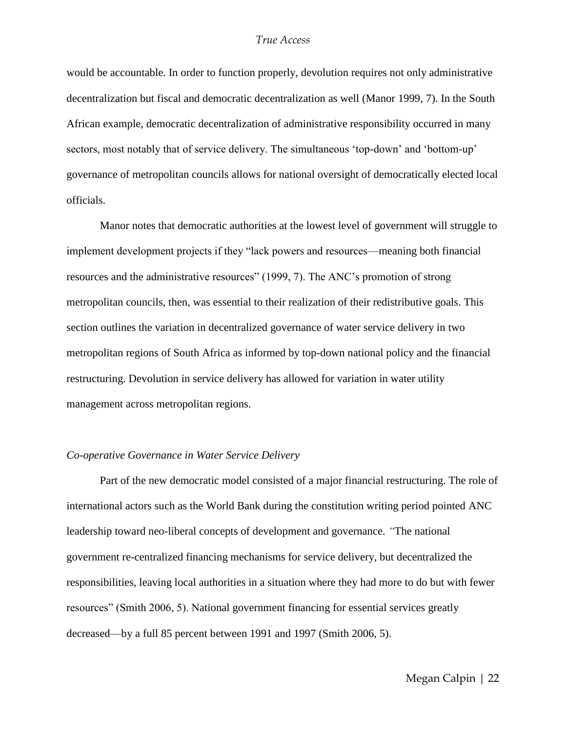would be accountable. In order to function properly, devolution requires not only administrative decentralization but fiscal and democratic decentralization as well (Manor 1999, 7). In the South African example, democratic decentralization of administrative responsibility occurred in many sectors, most notably that of service delivery. The simultaneous 'top-down' and 'bottom-up' governance of metropolitan councils allows for national oversight of democratically elected local officials.

Manor notes that democratic authorities at the lowest level of government will struggle to implement development projects if they "lack powers and resources—meaning both financial resources and the administrative resources" (1999, 7). The ANC's promotion of strong metropolitan councils, then, was essential to their realization of their redistributive goals. This section outlines the variation in decentralized governance of water service delivery in two metropolitan regions of South Africa as informed by top-down national policy and the financial restructuring. Devolution in service delivery has allowed for variation in water utility management across metropolitan regions.

#### *Co-operative Governance in Water Service Delivery*

Part of the new democratic model consisted of a major financial restructuring. The role of international actors such as the World Bank during the constitution writing period pointed ANC leadership toward neo-liberal concepts of development and governance. *"*The national government re-centralized financing mechanisms for service delivery, but decentralized the responsibilities, leaving local authorities in a situation where they had more to do but with fewer resources" (Smith 2006, 5). National government financing for essential services greatly decreased—by a full 85 percent between 1991 and 1997 (Smith 2006, 5).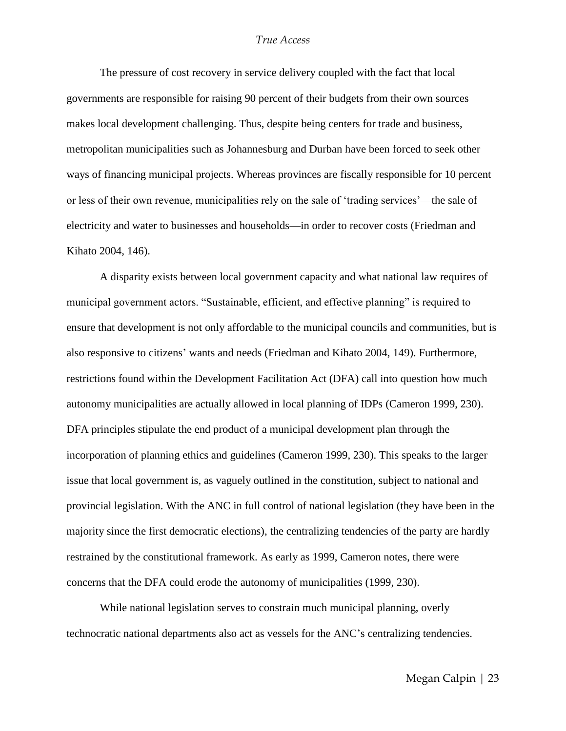The pressure of cost recovery in service delivery coupled with the fact that local governments are responsible for raising 90 percent of their budgets from their own sources makes local development challenging. Thus, despite being centers for trade and business, metropolitan municipalities such as Johannesburg and Durban have been forced to seek other ways of financing municipal projects. Whereas provinces are fiscally responsible for 10 percent or less of their own revenue, municipalities rely on the sale of ‗trading services'—the sale of electricity and water to businesses and households—in order to recover costs (Friedman and Kihato 2004, 146).

A disparity exists between local government capacity and what national law requires of municipal government actors. "Sustainable, efficient, and effective planning" is required to ensure that development is not only affordable to the municipal councils and communities, but is also responsive to citizens' wants and needs (Friedman and Kihato 2004, 149). Furthermore, restrictions found within the Development Facilitation Act (DFA) call into question how much autonomy municipalities are actually allowed in local planning of IDPs (Cameron 1999, 230). DFA principles stipulate the end product of a municipal development plan through the incorporation of planning ethics and guidelines (Cameron 1999, 230). This speaks to the larger issue that local government is, as vaguely outlined in the constitution, subject to national and provincial legislation. With the ANC in full control of national legislation (they have been in the majority since the first democratic elections), the centralizing tendencies of the party are hardly restrained by the constitutional framework. As early as 1999, Cameron notes, there were concerns that the DFA could erode the autonomy of municipalities (1999, 230).

While national legislation serves to constrain much municipal planning, overly technocratic national departments also act as vessels for the ANC's centralizing tendencies.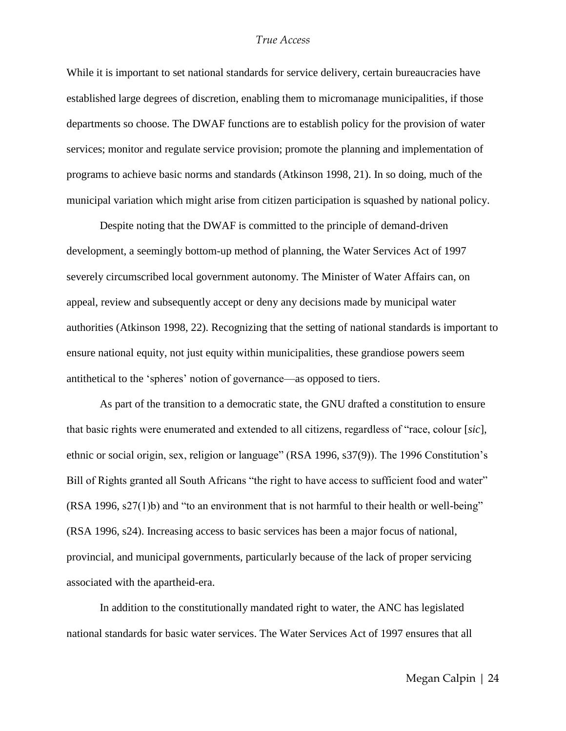While it is important to set national standards for service delivery, certain bureaucracies have established large degrees of discretion, enabling them to micromanage municipalities, if those departments so choose. The DWAF functions are to establish policy for the provision of water services; monitor and regulate service provision; promote the planning and implementation of programs to achieve basic norms and standards (Atkinson 1998, 21). In so doing, much of the municipal variation which might arise from citizen participation is squashed by national policy.

Despite noting that the DWAF is committed to the principle of demand-driven development, a seemingly bottom-up method of planning, the Water Services Act of 1997 severely circumscribed local government autonomy. The Minister of Water Affairs can, on appeal, review and subsequently accept or deny any decisions made by municipal water authorities (Atkinson 1998, 22). Recognizing that the setting of national standards is important to ensure national equity, not just equity within municipalities, these grandiose powers seem antithetical to the 'spheres' notion of governance—as opposed to tiers.

As part of the transition to a democratic state, the GNU drafted a constitution to ensure that basic rights were enumerated and extended to all citizens, regardless of "race, colour [*sic*], ethnic or social origin, sex, religion or language" (RSA 1996, s37(9)). The 1996 Constitution's Bill of Rights granted all South Africans "the right to have access to sufficient food and water"  $(RSA 1996, s27(1)b)$  and "to an environment that is not harmful to their health or well-being" (RSA 1996, s24). Increasing access to basic services has been a major focus of national, provincial, and municipal governments, particularly because of the lack of proper servicing associated with the apartheid-era.

In addition to the constitutionally mandated right to water, the ANC has legislated national standards for basic water services. The Water Services Act of 1997 ensures that all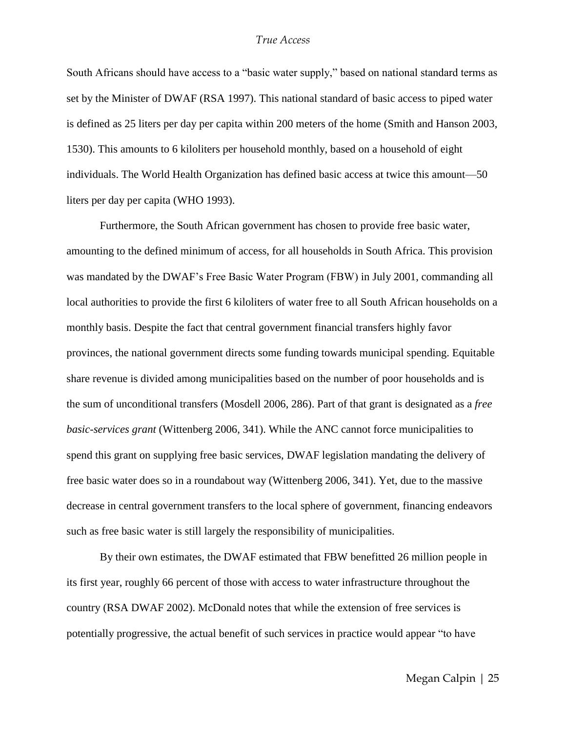South Africans should have access to a "basic water supply," based on national standard terms as set by the Minister of DWAF (RSA 1997). This national standard of basic access to piped water is defined as 25 liters per day per capita within 200 meters of the home (Smith and Hanson 2003, 1530). This amounts to 6 kiloliters per household monthly, based on a household of eight individuals. The World Health Organization has defined basic access at twice this amount—50 liters per day per capita (WHO 1993).

Furthermore, the South African government has chosen to provide free basic water, amounting to the defined minimum of access, for all households in South Africa. This provision was mandated by the DWAF's Free Basic Water Program (FBW) in July 2001, commanding all local authorities to provide the first 6 kiloliters of water free to all South African households on a monthly basis. Despite the fact that central government financial transfers highly favor provinces, the national government directs some funding towards municipal spending. Equitable share revenue is divided among municipalities based on the number of poor households and is the sum of unconditional transfers (Mosdell 2006, 286). Part of that grant is designated as a *free basic-services grant* (Wittenberg 2006, 341). While the ANC cannot force municipalities to spend this grant on supplying free basic services, DWAF legislation mandating the delivery of free basic water does so in a roundabout way (Wittenberg 2006, 341). Yet, due to the massive decrease in central government transfers to the local sphere of government, financing endeavors such as free basic water is still largely the responsibility of municipalities.

By their own estimates, the DWAF estimated that FBW benefitted 26 million people in its first year, roughly 66 percent of those with access to water infrastructure throughout the country (RSA DWAF 2002). McDonald notes that while the extension of free services is potentially progressive, the actual benefit of such services in practice would appear "to have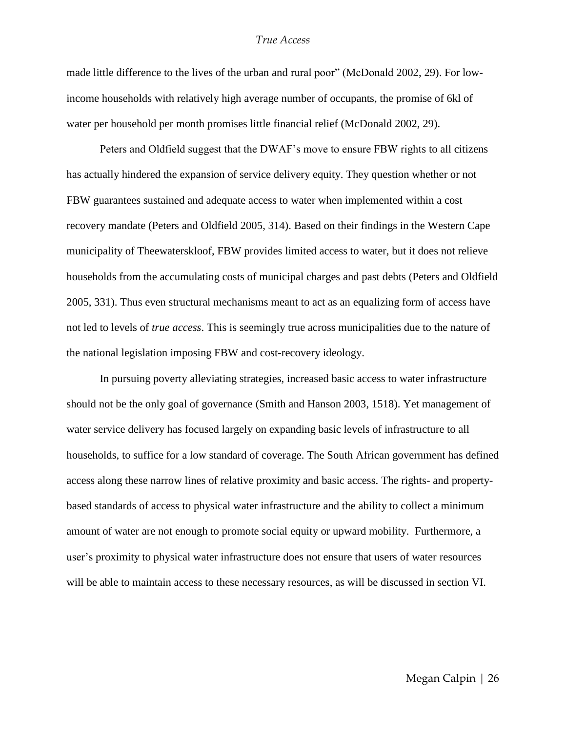made little difference to the lives of the urban and rural poor" (McDonald 2002, 29). For lowincome households with relatively high average number of occupants, the promise of 6kl of water per household per month promises little financial relief (McDonald 2002, 29).

Peters and Oldfield suggest that the DWAF's move to ensure FBW rights to all citizens has actually hindered the expansion of service delivery equity. They question whether or not FBW guarantees sustained and adequate access to water when implemented within a cost recovery mandate (Peters and Oldfield 2005, 314). Based on their findings in the Western Cape municipality of Theewaterskloof, FBW provides limited access to water, but it does not relieve households from the accumulating costs of municipal charges and past debts (Peters and Oldfield 2005, 331). Thus even structural mechanisms meant to act as an equalizing form of access have not led to levels of *true access*. This is seemingly true across municipalities due to the nature of the national legislation imposing FBW and cost-recovery ideology.

In pursuing poverty alleviating strategies, increased basic access to water infrastructure should not be the only goal of governance (Smith and Hanson 2003, 1518). Yet management of water service delivery has focused largely on expanding basic levels of infrastructure to all households, to suffice for a low standard of coverage. The South African government has defined access along these narrow lines of relative proximity and basic access. The rights- and propertybased standards of access to physical water infrastructure and the ability to collect a minimum amount of water are not enough to promote social equity or upward mobility. Furthermore, a user's proximity to physical water infrastructure does not ensure that users of water resources will be able to maintain access to these necessary resources, as will be discussed in section VI.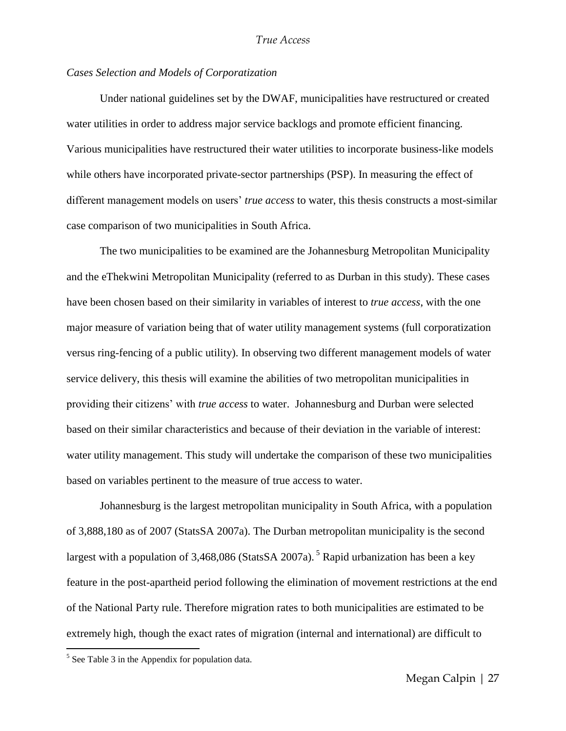#### *Cases Selection and Models of Corporatization*

Under national guidelines set by the DWAF, municipalities have restructured or created water utilities in order to address major service backlogs and promote efficient financing. Various municipalities have restructured their water utilities to incorporate business-like models while others have incorporated private-sector partnerships (PSP). In measuring the effect of different management models on users' *true access* to water, this thesis constructs a most-similar case comparison of two municipalities in South Africa.

The two municipalities to be examined are the Johannesburg Metropolitan Municipality and the eThekwini Metropolitan Municipality (referred to as Durban in this study). These cases have been chosen based on their similarity in variables of interest to *true access*, with the one major measure of variation being that of water utility management systems (full corporatization versus ring-fencing of a public utility). In observing two different management models of water service delivery, this thesis will examine the abilities of two metropolitan municipalities in providing their citizens' with *true access* to water. Johannesburg and Durban were selected based on their similar characteristics and because of their deviation in the variable of interest: water utility management. This study will undertake the comparison of these two municipalities based on variables pertinent to the measure of true access to water.

Johannesburg is the largest metropolitan municipality in South Africa, with a population of 3,888,180 as of 2007 (StatsSA 2007a). The Durban metropolitan municipality is the second largest with a population of 3,468,086 (StatsSA 2007a).<sup>5</sup> Rapid urbanization has been a key feature in the post-apartheid period following the elimination of movement restrictions at the end of the National Party rule. Therefore migration rates to both municipalities are estimated to be extremely high, though the exact rates of migration (internal and international) are difficult to

 $\overline{a}$ 

 $<sup>5</sup>$  See Table 3 in the Appendix for population data.</sup>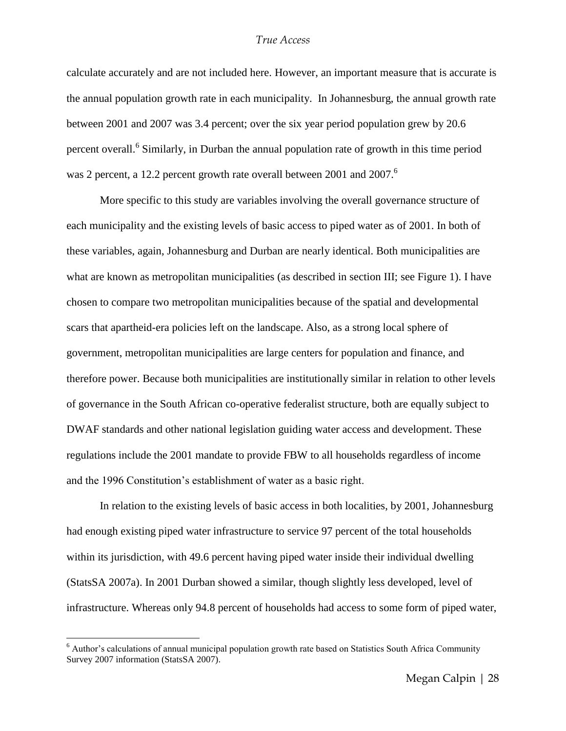calculate accurately and are not included here. However, an important measure that is accurate is the annual population growth rate in each municipality. In Johannesburg, the annual growth rate between 2001 and 2007 was 3.4 percent; over the six year period population grew by 20.6 percent overall.<sup>6</sup> Similarly, in Durban the annual population rate of growth in this time period was 2 percent, a 12.2 percent growth rate overall between 2001 and 2007.<sup>6</sup>

More specific to this study are variables involving the overall governance structure of each municipality and the existing levels of basic access to piped water as of 2001. In both of these variables, again, Johannesburg and Durban are nearly identical. Both municipalities are what are known as metropolitan municipalities (as described in section III; see Figure 1). I have chosen to compare two metropolitan municipalities because of the spatial and developmental scars that apartheid-era policies left on the landscape. Also, as a strong local sphere of government, metropolitan municipalities are large centers for population and finance, and therefore power. Because both municipalities are institutionally similar in relation to other levels of governance in the South African co-operative federalist structure, both are equally subject to DWAF standards and other national legislation guiding water access and development. These regulations include the 2001 mandate to provide FBW to all households regardless of income and the 1996 Constitution's establishment of water as a basic right.

In relation to the existing levels of basic access in both localities, by 2001, Johannesburg had enough existing piped water infrastructure to service 97 percent of the total households within its jurisdiction, with 49.6 percent having piped water inside their individual dwelling (StatsSA 2007a). In 2001 Durban showed a similar, though slightly less developed, level of infrastructure. Whereas only 94.8 percent of households had access to some form of piped water,

 $\overline{a}$ 

<sup>6</sup> Author's calculations of annual municipal population growth rate based on Statistics South Africa Community Survey 2007 information (StatsSA 2007).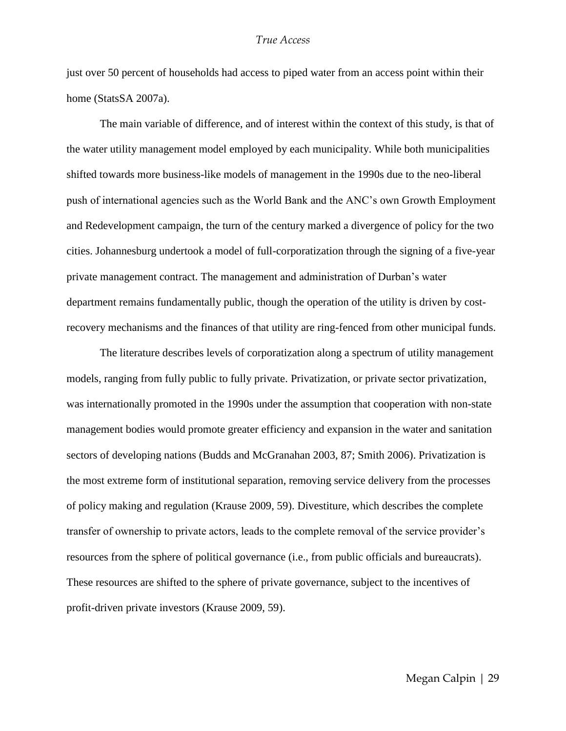just over 50 percent of households had access to piped water from an access point within their home (StatsSA 2007a).

The main variable of difference, and of interest within the context of this study, is that of the water utility management model employed by each municipality. While both municipalities shifted towards more business-like models of management in the 1990s due to the neo-liberal push of international agencies such as the World Bank and the ANC's own Growth Employment and Redevelopment campaign, the turn of the century marked a divergence of policy for the two cities. Johannesburg undertook a model of full-corporatization through the signing of a five-year private management contract. The management and administration of Durban's water department remains fundamentally public, though the operation of the utility is driven by costrecovery mechanisms and the finances of that utility are ring-fenced from other municipal funds.

The literature describes levels of corporatization along a spectrum of utility management models, ranging from fully public to fully private. Privatization, or private sector privatization, was internationally promoted in the 1990s under the assumption that cooperation with non-state management bodies would promote greater efficiency and expansion in the water and sanitation sectors of developing nations (Budds and McGranahan 2003, 87; Smith 2006). Privatization is the most extreme form of institutional separation, removing service delivery from the processes of policy making and regulation (Krause 2009, 59). Divestiture, which describes the complete transfer of ownership to private actors, leads to the complete removal of the service provider's resources from the sphere of political governance (i.e., from public officials and bureaucrats). These resources are shifted to the sphere of private governance, subject to the incentives of profit-driven private investors (Krause 2009, 59).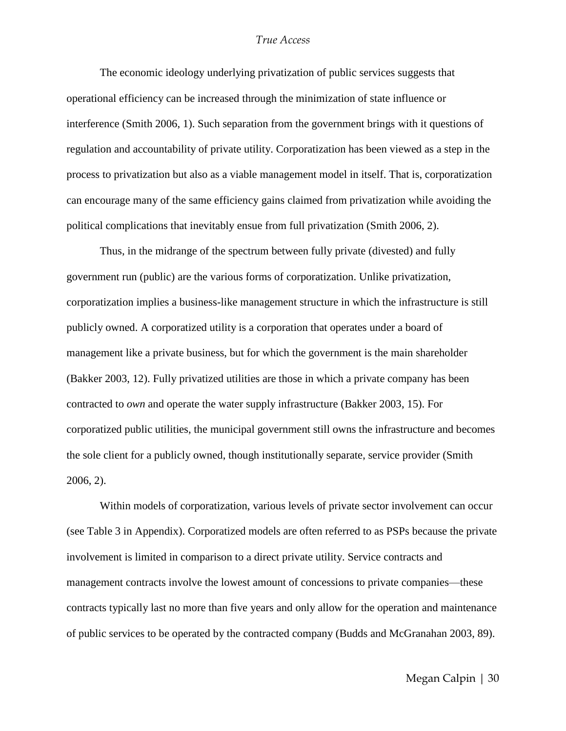The economic ideology underlying privatization of public services suggests that operational efficiency can be increased through the minimization of state influence or interference (Smith 2006, 1). Such separation from the government brings with it questions of regulation and accountability of private utility. Corporatization has been viewed as a step in the process to privatization but also as a viable management model in itself. That is, corporatization can encourage many of the same efficiency gains claimed from privatization while avoiding the political complications that inevitably ensue from full privatization (Smith 2006, 2).

Thus, in the midrange of the spectrum between fully private (divested) and fully government run (public) are the various forms of corporatization. Unlike privatization, corporatization implies a business-like management structure in which the infrastructure is still publicly owned. A corporatized utility is a corporation that operates under a board of management like a private business, but for which the government is the main shareholder (Bakker 2003, 12). Fully privatized utilities are those in which a private company has been contracted to *own* and operate the water supply infrastructure (Bakker 2003, 15). For corporatized public utilities, the municipal government still owns the infrastructure and becomes the sole client for a publicly owned, though institutionally separate, service provider (Smith 2006, 2).

Within models of corporatization, various levels of private sector involvement can occur (see Table 3 in Appendix). Corporatized models are often referred to as PSPs because the private involvement is limited in comparison to a direct private utility. Service contracts and management contracts involve the lowest amount of concessions to private companies—these contracts typically last no more than five years and only allow for the operation and maintenance of public services to be operated by the contracted company (Budds and McGranahan 2003, 89).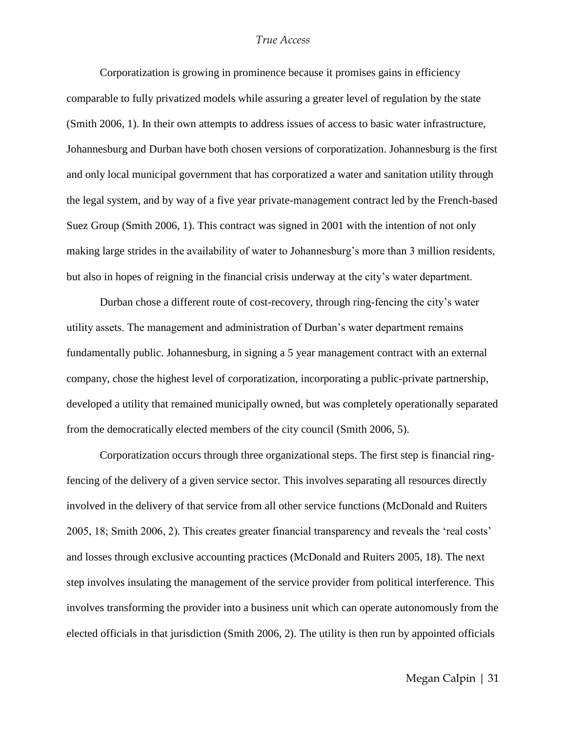Corporatization is growing in prominence because it promises gains in efficiency comparable to fully privatized models while assuring a greater level of regulation by the state (Smith 2006, 1). In their own attempts to address issues of access to basic water infrastructure, Johannesburg and Durban have both chosen versions of corporatization. Johannesburg is the first and only local municipal government that has corporatized a water and sanitation utility through the legal system, and by way of a five year private-management contract led by the French-based Suez Group (Smith 2006, 1). This contract was signed in 2001 with the intention of not only making large strides in the availability of water to Johannesburg's more than 3 million residents, but also in hopes of reigning in the financial crisis underway at the city's water department.

Durban chose a different route of cost-recovery, through ring-fencing the city's water utility assets. The management and administration of Durban's water department remains fundamentally public. Johannesburg, in signing a 5 year management contract with an external company, chose the highest level of corporatization, incorporating a public-private partnership, developed a utility that remained municipally owned, but was completely operationally separated from the democratically elected members of the city council (Smith 2006, 5).

Corporatization occurs through three organizational steps. The first step is financial ringfencing of the delivery of a given service sector. This involves separating all resources directly involved in the delivery of that service from all other service functions (McDonald and Ruiters 2005, 18; Smith 2006, 2). This creates greater financial transparency and reveals the 'real costs' and losses through exclusive accounting practices (McDonald and Ruiters 2005, 18). The next step involves insulating the management of the service provider from political interference. This involves transforming the provider into a business unit which can operate autonomously from the elected officials in that jurisdiction (Smith 2006, 2). The utility is then run by appointed officials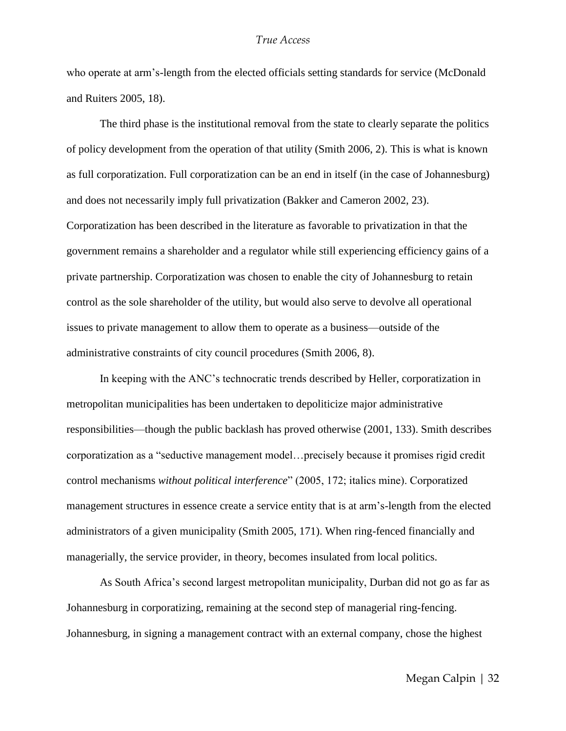who operate at arm's-length from the elected officials setting standards for service (McDonald and Ruiters 2005, 18).

The third phase is the institutional removal from the state to clearly separate the politics of policy development from the operation of that utility (Smith 2006, 2). This is what is known as full corporatization. Full corporatization can be an end in itself (in the case of Johannesburg) and does not necessarily imply full privatization (Bakker and Cameron 2002, 23). Corporatization has been described in the literature as favorable to privatization in that the government remains a shareholder and a regulator while still experiencing efficiency gains of a private partnership. Corporatization was chosen to enable the city of Johannesburg to retain control as the sole shareholder of the utility, but would also serve to devolve all operational issues to private management to allow them to operate as a business—outside of the administrative constraints of city council procedures (Smith 2006, 8).

In keeping with the ANC's technocratic trends described by Heller, corporatization in metropolitan municipalities has been undertaken to depoliticize major administrative responsibilities—though the public backlash has proved otherwise (2001, 133). Smith describes corporatization as a "seductive management model...precisely because it promises rigid credit control mechanisms *without political interference*‖ (2005, 172; italics mine). Corporatized management structures in essence create a service entity that is at arm's-length from the elected administrators of a given municipality (Smith 2005, 171). When ring-fenced financially and managerially, the service provider, in theory, becomes insulated from local politics.

As South Africa's second largest metropolitan municipality, Durban did not go as far as Johannesburg in corporatizing, remaining at the second step of managerial ring-fencing. Johannesburg, in signing a management contract with an external company, chose the highest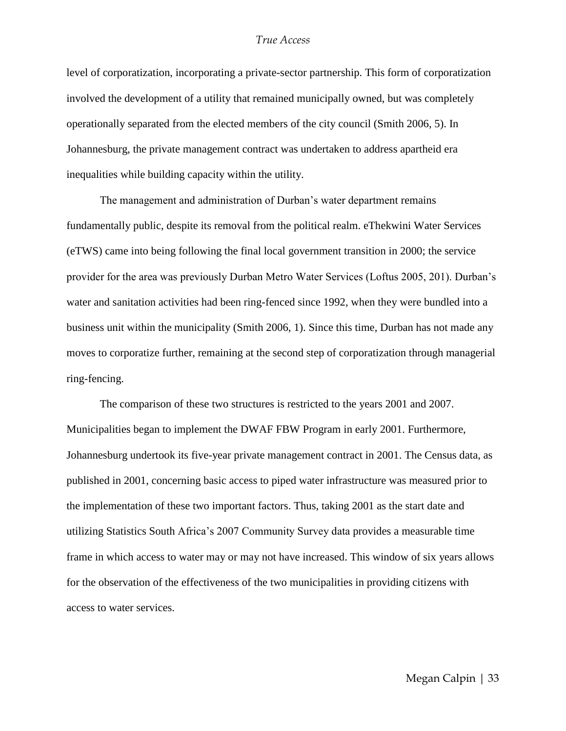level of corporatization, incorporating a private-sector partnership. This form of corporatization involved the development of a utility that remained municipally owned, but was completely operationally separated from the elected members of the city council (Smith 2006, 5). In Johannesburg, the private management contract was undertaken to address apartheid era inequalities while building capacity within the utility.

The management and administration of Durban's water department remains fundamentally public, despite its removal from the political realm. eThekwini Water Services (eTWS) came into being following the final local government transition in 2000; the service provider for the area was previously Durban Metro Water Services (Loftus 2005, 201). Durban's water and sanitation activities had been ring-fenced since 1992, when they were bundled into a business unit within the municipality (Smith 2006, 1). Since this time, Durban has not made any moves to corporatize further, remaining at the second step of corporatization through managerial ring-fencing.

The comparison of these two structures is restricted to the years 2001 and 2007. Municipalities began to implement the DWAF FBW Program in early 2001. Furthermore, Johannesburg undertook its five-year private management contract in 2001. The Census data, as published in 2001, concerning basic access to piped water infrastructure was measured prior to the implementation of these two important factors. Thus, taking 2001 as the start date and utilizing Statistics South Africa's 2007 Community Survey data provides a measurable time frame in which access to water may or may not have increased. This window of six years allows for the observation of the effectiveness of the two municipalities in providing citizens with access to water services.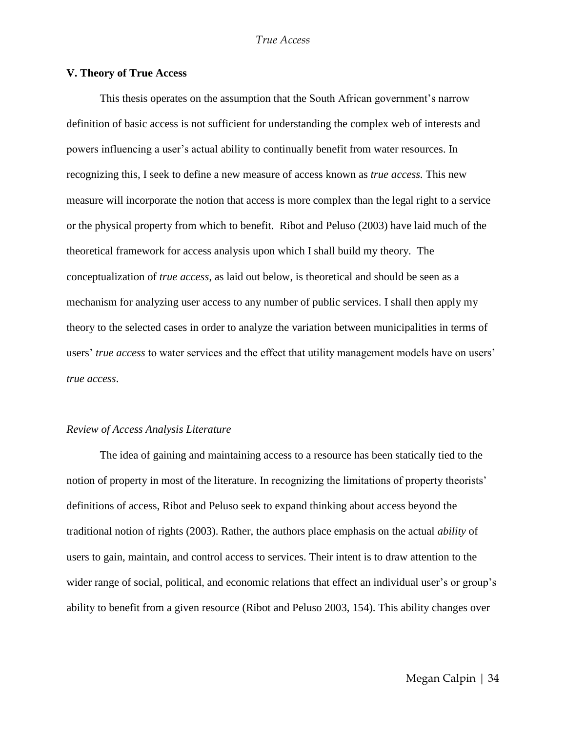#### **V. Theory of True Access**

This thesis operates on the assumption that the South African government's narrow definition of basic access is not sufficient for understanding the complex web of interests and powers influencing a user's actual ability to continually benefit from water resources. In recognizing this, I seek to define a new measure of access known as *true access.* This new measure will incorporate the notion that access is more complex than the legal right to a service or the physical property from which to benefit. Ribot and Peluso (2003) have laid much of the theoretical framework for access analysis upon which I shall build my theory. The conceptualization of *true access*, as laid out below, is theoretical and should be seen as a mechanism for analyzing user access to any number of public services. I shall then apply my theory to the selected cases in order to analyze the variation between municipalities in terms of users' *true access* to water services and the effect that utility management models have on users' *true access*.

#### *Review of Access Analysis Literature*

The idea of gaining and maintaining access to a resource has been statically tied to the notion of property in most of the literature. In recognizing the limitations of property theorists' definitions of access, Ribot and Peluso seek to expand thinking about access beyond the traditional notion of rights (2003). Rather, the authors place emphasis on the actual *ability* of users to gain, maintain, and control access to services. Their intent is to draw attention to the wider range of social, political, and economic relations that effect an individual user's or group's ability to benefit from a given resource (Ribot and Peluso 2003, 154). This ability changes over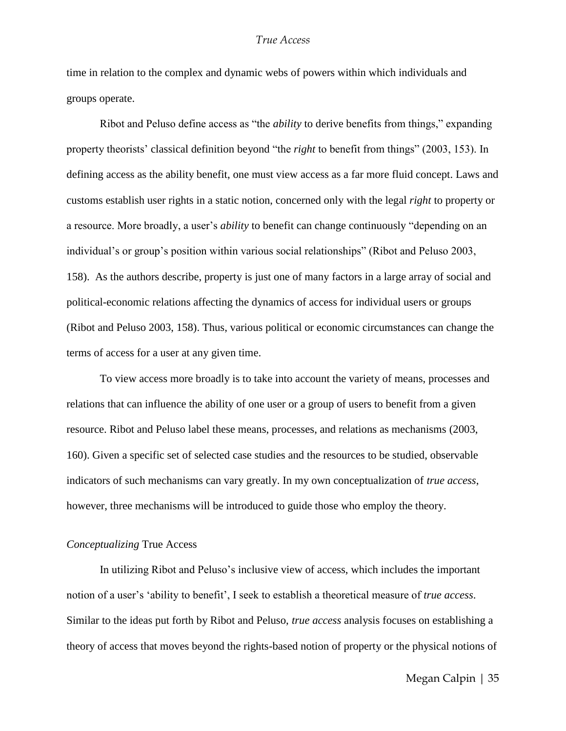time in relation to the complex and dynamic webs of powers within which individuals and groups operate.

Ribot and Peluso define access as "the *ability* to derive benefits from things," expanding property theorists' classical definition beyond "the *right* to benefit from things" (2003, 153). In defining access as the ability benefit, one must view access as a far more fluid concept. Laws and customs establish user rights in a static notion, concerned only with the legal *right* to property or a resource. More broadly, a user's *ability* to benefit can change continuously "depending on an individual's or group's position within various social relationships" (Ribot and Peluso 2003, 158). As the authors describe, property is just one of many factors in a large array of social and political-economic relations affecting the dynamics of access for individual users or groups (Ribot and Peluso 2003, 158). Thus, various political or economic circumstances can change the terms of access for a user at any given time.

To view access more broadly is to take into account the variety of means, processes and relations that can influence the ability of one user or a group of users to benefit from a given resource. Ribot and Peluso label these means, processes, and relations as mechanisms (2003, 160). Given a specific set of selected case studies and the resources to be studied, observable indicators of such mechanisms can vary greatly. In my own conceptualization of *true access*, however, three mechanisms will be introduced to guide those who employ the theory.

#### *Conceptualizing* True Access

In utilizing Ribot and Peluso's inclusive view of access, which includes the important notion of a user's ‗ability to benefit', I seek to establish a theoretical measure of *true access*. Similar to the ideas put forth by Ribot and Peluso, *true access* analysis focuses on establishing a theory of access that moves beyond the rights-based notion of property or the physical notions of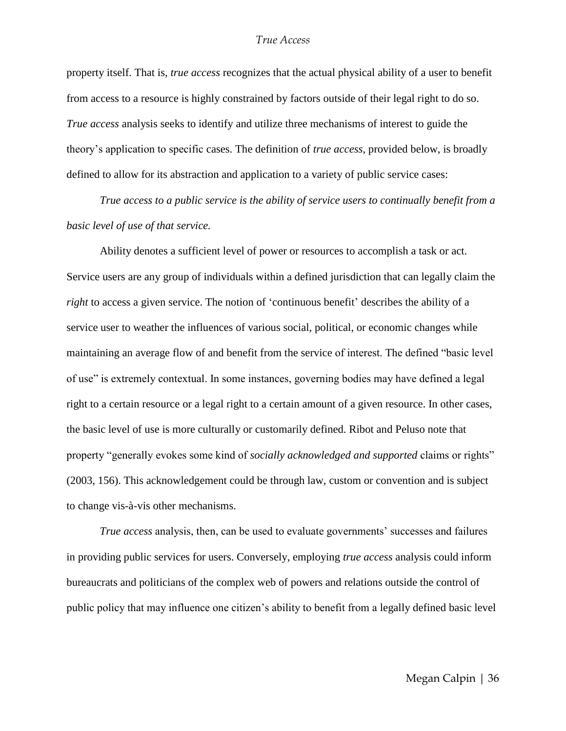property itself. That is, *true access* recognizes that the actual physical ability of a user to benefit from access to a resource is highly constrained by factors outside of their legal right to do so. *True access* analysis seeks to identify and utilize three mechanisms of interest to guide the theory's application to specific cases. The definition of *true access*, provided below, is broadly defined to allow for its abstraction and application to a variety of public service cases:

*True access to a public service is the ability of service users to continually benefit from a basic level of use of that service.*

Ability denotes a sufficient level of power or resources to accomplish a task or act. Service users are any group of individuals within a defined jurisdiction that can legally claim the *right* to access a given service. The notion of 'continuous benefit' describes the ability of a service user to weather the influences of various social, political, or economic changes while maintaining an average flow of and benefit from the service of interest. The defined "basic level" of use" is extremely contextual. In some instances, governing bodies may have defined a legal right to a certain resource or a legal right to a certain amount of a given resource. In other cases, the basic level of use is more culturally or customarily defined. Ribot and Peluso note that property "generally evokes some kind of *socially acknowledged and supported* claims or rights" (2003, 156). This acknowledgement could be through law, custom or convention and is subject to change vis-à-vis other mechanisms.

*True access* analysis, then, can be used to evaluate governments' successes and failures in providing public services for users. Conversely, employing *true access* analysis could inform bureaucrats and politicians of the complex web of powers and relations outside the control of public policy that may influence one citizen's ability to benefit from a legally defined basic level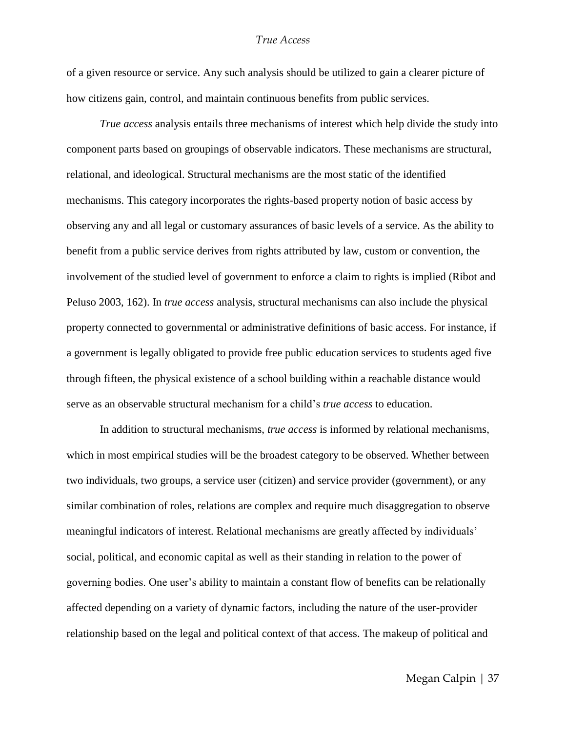of a given resource or service. Any such analysis should be utilized to gain a clearer picture of how citizens gain, control, and maintain continuous benefits from public services.

*True access* analysis entails three mechanisms of interest which help divide the study into component parts based on groupings of observable indicators. These mechanisms are structural, relational, and ideological. Structural mechanisms are the most static of the identified mechanisms. This category incorporates the rights-based property notion of basic access by observing any and all legal or customary assurances of basic levels of a service. As the ability to benefit from a public service derives from rights attributed by law, custom or convention, the involvement of the studied level of government to enforce a claim to rights is implied (Ribot and Peluso 2003, 162). In *true access* analysis, structural mechanisms can also include the physical property connected to governmental or administrative definitions of basic access. For instance, if a government is legally obligated to provide free public education services to students aged five through fifteen, the physical existence of a school building within a reachable distance would serve as an observable structural mechanism for a child's *true access* to education.

In addition to structural mechanisms, *true access* is informed by relational mechanisms, which in most empirical studies will be the broadest category to be observed. Whether between two individuals, two groups, a service user (citizen) and service provider (government), or any similar combination of roles, relations are complex and require much disaggregation to observe meaningful indicators of interest. Relational mechanisms are greatly affected by individuals' social, political, and economic capital as well as their standing in relation to the power of governing bodies. One user's ability to maintain a constant flow of benefits can be relationally affected depending on a variety of dynamic factors, including the nature of the user-provider relationship based on the legal and political context of that access. The makeup of political and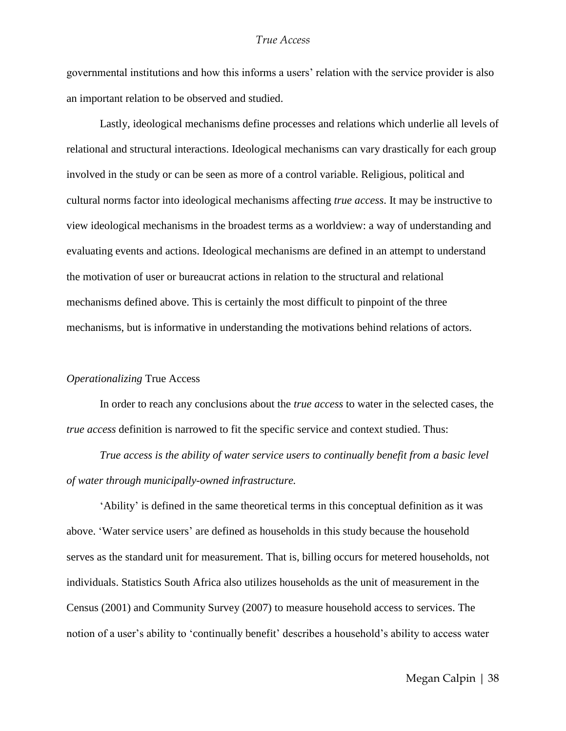governmental institutions and how this informs a users' relation with the service provider is also an important relation to be observed and studied.

Lastly, ideological mechanisms define processes and relations which underlie all levels of relational and structural interactions. Ideological mechanisms can vary drastically for each group involved in the study or can be seen as more of a control variable. Religious, political and cultural norms factor into ideological mechanisms affecting *true access*. It may be instructive to view ideological mechanisms in the broadest terms as a worldview: a way of understanding and evaluating events and actions. Ideological mechanisms are defined in an attempt to understand the motivation of user or bureaucrat actions in relation to the structural and relational mechanisms defined above. This is certainly the most difficult to pinpoint of the three mechanisms, but is informative in understanding the motivations behind relations of actors.

#### *Operationalizing* True Access

In order to reach any conclusions about the *true access* to water in the selected cases, the *true access* definition is narrowed to fit the specific service and context studied. Thus:

*True access is the ability of water service users to continually benefit from a basic level of water through municipally-owned infrastructure.* 

‗Ability' is defined in the same theoretical terms in this conceptual definition as it was above. ‗Water service users' are defined as households in this study because the household serves as the standard unit for measurement. That is, billing occurs for metered households, not individuals. Statistics South Africa also utilizes households as the unit of measurement in the Census (2001) and Community Survey (2007) to measure household access to services. The notion of a user's ability to 'continually benefit' describes a household's ability to access water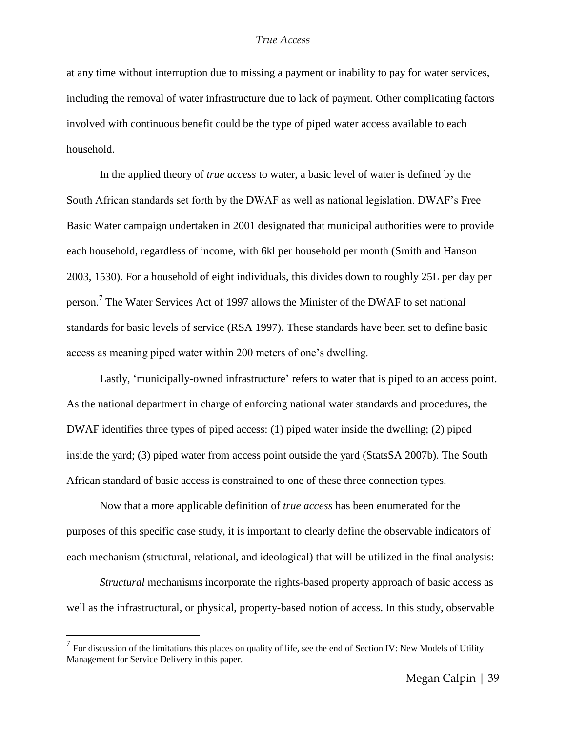at any time without interruption due to missing a payment or inability to pay for water services, including the removal of water infrastructure due to lack of payment. Other complicating factors involved with continuous benefit could be the type of piped water access available to each household.

In the applied theory of *true access* to water, a basic level of water is defined by the South African standards set forth by the DWAF as well as national legislation. DWAF's Free Basic Water campaign undertaken in 2001 designated that municipal authorities were to provide each household, regardless of income, with 6kl per household per month (Smith and Hanson 2003, 1530). For a household of eight individuals, this divides down to roughly 25L per day per person.<sup>7</sup> The Water Services Act of 1997 allows the Minister of the DWAF to set national standards for basic levels of service (RSA 1997). These standards have been set to define basic access as meaning piped water within 200 meters of one's dwelling.

Lastly, 'municipally-owned infrastructure' refers to water that is piped to an access point. As the national department in charge of enforcing national water standards and procedures, the DWAF identifies three types of piped access: (1) piped water inside the dwelling; (2) piped inside the yard; (3) piped water from access point outside the yard (StatsSA 2007b). The South African standard of basic access is constrained to one of these three connection types.

Now that a more applicable definition of *true access* has been enumerated for the purposes of this specific case study, it is important to clearly define the observable indicators of each mechanism (structural, relational, and ideological) that will be utilized in the final analysis:

*Structural* mechanisms incorporate the rights-based property approach of basic access as well as the infrastructural, or physical, property-based notion of access. In this study, observable

 $\overline{a}$ 

 $<sup>7</sup>$  For discussion of the limitations this places on quality of life, see the end of Section IV: New Models of Utility</sup> Management for Service Delivery in this paper.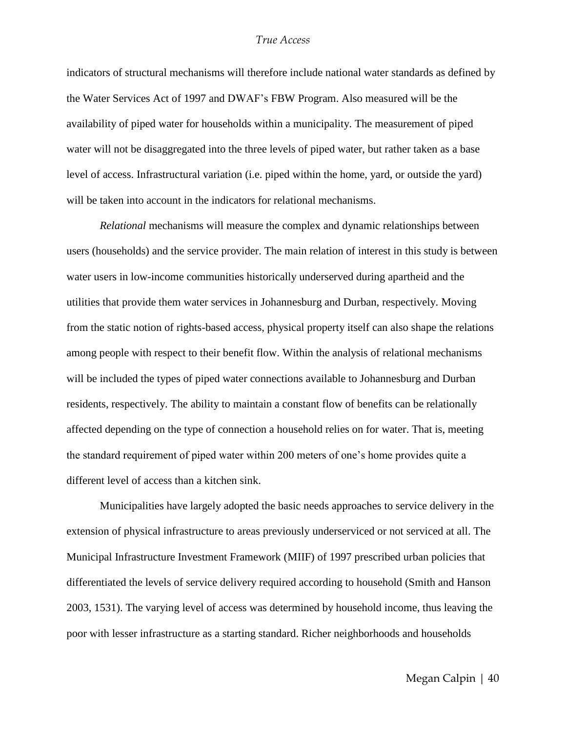indicators of structural mechanisms will therefore include national water standards as defined by the Water Services Act of 1997 and DWAF's FBW Program. Also measured will be the availability of piped water for households within a municipality. The measurement of piped water will not be disaggregated into the three levels of piped water, but rather taken as a base level of access. Infrastructural variation (i.e. piped within the home, yard, or outside the yard) will be taken into account in the indicators for relational mechanisms.

*Relational* mechanisms will measure the complex and dynamic relationships between users (households) and the service provider. The main relation of interest in this study is between water users in low-income communities historically underserved during apartheid and the utilities that provide them water services in Johannesburg and Durban, respectively. Moving from the static notion of rights-based access, physical property itself can also shape the relations among people with respect to their benefit flow. Within the analysis of relational mechanisms will be included the types of piped water connections available to Johannesburg and Durban residents, respectively. The ability to maintain a constant flow of benefits can be relationally affected depending on the type of connection a household relies on for water. That is, meeting the standard requirement of piped water within 200 meters of one's home provides quite a different level of access than a kitchen sink.

Municipalities have largely adopted the basic needs approaches to service delivery in the extension of physical infrastructure to areas previously underserviced or not serviced at all. The Municipal Infrastructure Investment Framework (MIIF) of 1997 prescribed urban policies that differentiated the levels of service delivery required according to household (Smith and Hanson 2003, 1531). The varying level of access was determined by household income, thus leaving the poor with lesser infrastructure as a starting standard. Richer neighborhoods and households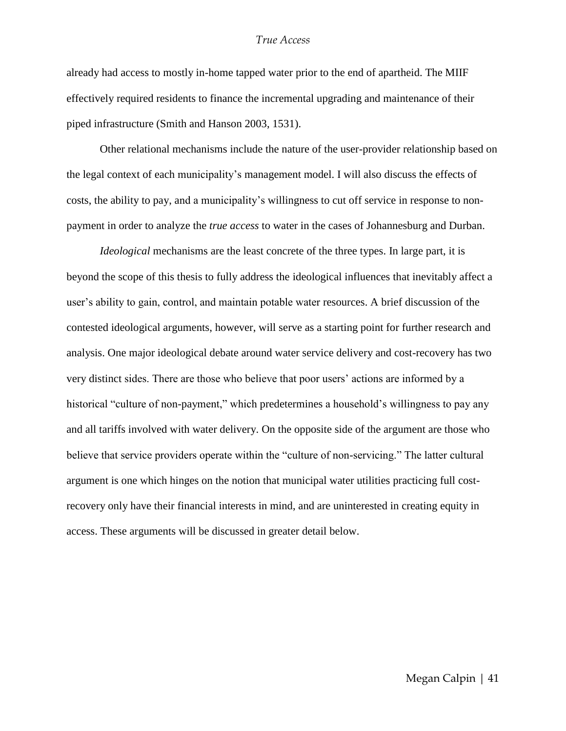already had access to mostly in-home tapped water prior to the end of apartheid. The MIIF effectively required residents to finance the incremental upgrading and maintenance of their piped infrastructure (Smith and Hanson 2003, 1531).

Other relational mechanisms include the nature of the user-provider relationship based on the legal context of each municipality's management model. I will also discuss the effects of costs, the ability to pay, and a municipality's willingness to cut off service in response to nonpayment in order to analyze the *true access* to water in the cases of Johannesburg and Durban.

*Ideological* mechanisms are the least concrete of the three types. In large part, it is beyond the scope of this thesis to fully address the ideological influences that inevitably affect a user's ability to gain, control, and maintain potable water resources. A brief discussion of the contested ideological arguments, however, will serve as a starting point for further research and analysis. One major ideological debate around water service delivery and cost-recovery has two very distinct sides. There are those who believe that poor users' actions are informed by a historical "culture of non-payment," which predetermines a household's willingness to pay any and all tariffs involved with water delivery. On the opposite side of the argument are those who believe that service providers operate within the "culture of non-servicing." The latter cultural argument is one which hinges on the notion that municipal water utilities practicing full costrecovery only have their financial interests in mind, and are uninterested in creating equity in access. These arguments will be discussed in greater detail below.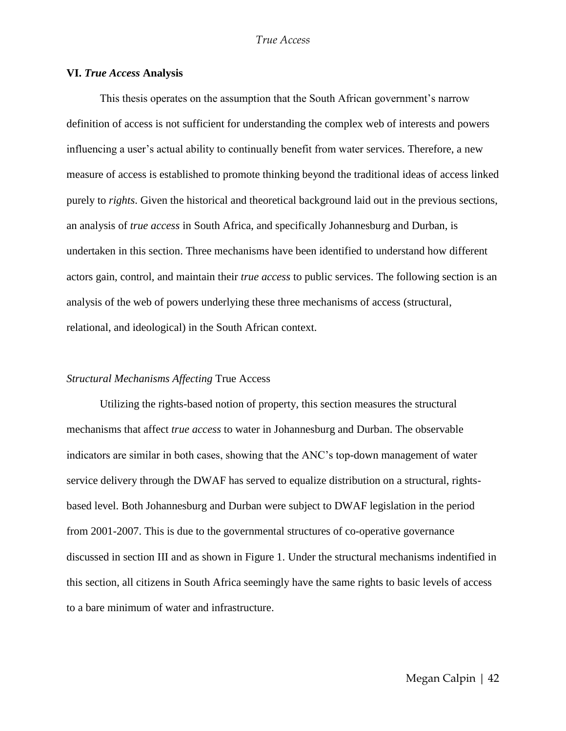#### **VI.** *True Access* **Analysis**

This thesis operates on the assumption that the South African government's narrow definition of access is not sufficient for understanding the complex web of interests and powers influencing a user's actual ability to continually benefit from water services. Therefore, a new measure of access is established to promote thinking beyond the traditional ideas of access linked purely to *rights*. Given the historical and theoretical background laid out in the previous sections, an analysis of *true access* in South Africa, and specifically Johannesburg and Durban, is undertaken in this section. Three mechanisms have been identified to understand how different actors gain, control, and maintain their *true access* to public services. The following section is an analysis of the web of powers underlying these three mechanisms of access (structural, relational, and ideological) in the South African context.

#### *Structural Mechanisms Affecting* True Access

Utilizing the rights-based notion of property, this section measures the structural mechanisms that affect *true access* to water in Johannesburg and Durban. The observable indicators are similar in both cases, showing that the ANC's top-down management of water service delivery through the DWAF has served to equalize distribution on a structural, rightsbased level. Both Johannesburg and Durban were subject to DWAF legislation in the period from 2001-2007. This is due to the governmental structures of co-operative governance discussed in section III and as shown in Figure 1. Under the structural mechanisms indentified in this section, all citizens in South Africa seemingly have the same rights to basic levels of access to a bare minimum of water and infrastructure.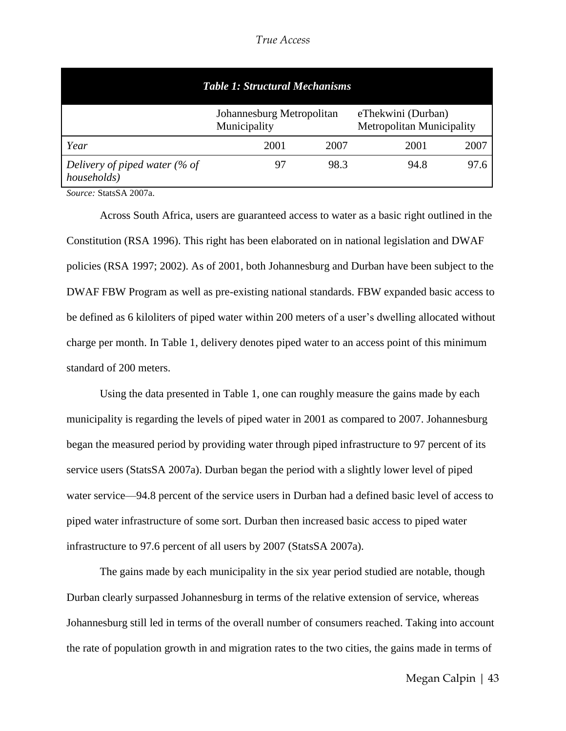*True Access*

| <b>Table 1: Structural Mechanisms</b>           |                                           |      |                                                        |      |  |
|-------------------------------------------------|-------------------------------------------|------|--------------------------------------------------------|------|--|
|                                                 | Johannesburg Metropolitan<br>Municipality |      | eThekwini (Durban)<br><b>Metropolitan Municipality</b> |      |  |
| Year                                            | 2001                                      | 2007 | 2001                                                   | 2007 |  |
| Delivery of piped water ( $%$ of<br>households) |                                           | 98.3 | 94.8                                                   | 97.6 |  |

*Source:* StatsSA 2007a.

Across South Africa, users are guaranteed access to water as a basic right outlined in the Constitution (RSA 1996). This right has been elaborated on in national legislation and DWAF policies (RSA 1997; 2002). As of 2001, both Johannesburg and Durban have been subject to the DWAF FBW Program as well as pre-existing national standards. FBW expanded basic access to be defined as 6 kiloliters of piped water within 200 meters of a user's dwelling allocated without charge per month. In Table 1, delivery denotes piped water to an access point of this minimum standard of 200 meters.

Using the data presented in Table 1, one can roughly measure the gains made by each municipality is regarding the levels of piped water in 2001 as compared to 2007. Johannesburg began the measured period by providing water through piped infrastructure to 97 percent of its service users (StatsSA 2007a). Durban began the period with a slightly lower level of piped water service—94.8 percent of the service users in Durban had a defined basic level of access to piped water infrastructure of some sort. Durban then increased basic access to piped water infrastructure to 97.6 percent of all users by 2007 (StatsSA 2007a).

The gains made by each municipality in the six year period studied are notable, though Durban clearly surpassed Johannesburg in terms of the relative extension of service, whereas Johannesburg still led in terms of the overall number of consumers reached. Taking into account the rate of population growth in and migration rates to the two cities, the gains made in terms of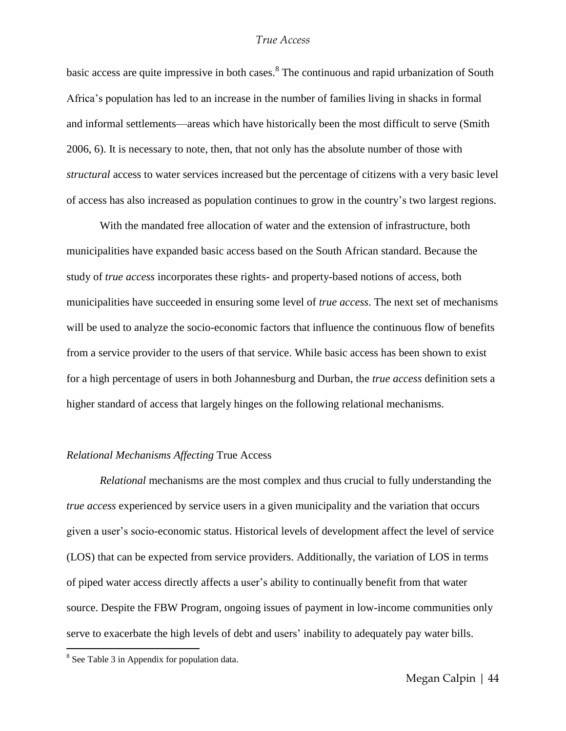basic access are quite impressive in both cases. <sup>8</sup> The continuous and rapid urbanization of South Africa's population has led to an increase in the number of families living in shacks in formal and informal settlements—areas which have historically been the most difficult to serve (Smith 2006, 6). It is necessary to note, then, that not only has the absolute number of those with *structural* access to water services increased but the percentage of citizens with a very basic level of access has also increased as population continues to grow in the country's two largest regions.

With the mandated free allocation of water and the extension of infrastructure, both municipalities have expanded basic access based on the South African standard. Because the study of *true access* incorporates these rights- and property-based notions of access, both municipalities have succeeded in ensuring some level of *true access*. The next set of mechanisms will be used to analyze the socio-economic factors that influence the continuous flow of benefits from a service provider to the users of that service. While basic access has been shown to exist for a high percentage of users in both Johannesburg and Durban, the *true access* definition sets a higher standard of access that largely hinges on the following relational mechanisms.

#### *Relational Mechanisms Affecting* True Access

*Relational* mechanisms are the most complex and thus crucial to fully understanding the *true access* experienced by service users in a given municipality and the variation that occurs given a user's socio-economic status. Historical levels of development affect the level of service (LOS) that can be expected from service providers. Additionally, the variation of LOS in terms of piped water access directly affects a user's ability to continually benefit from that water source. Despite the FBW Program, ongoing issues of payment in low-income communities only serve to exacerbate the high levels of debt and users' inability to adequately pay water bills.

 $\overline{a}$ 

<sup>&</sup>lt;sup>8</sup> See Table 3 in Appendix for population data.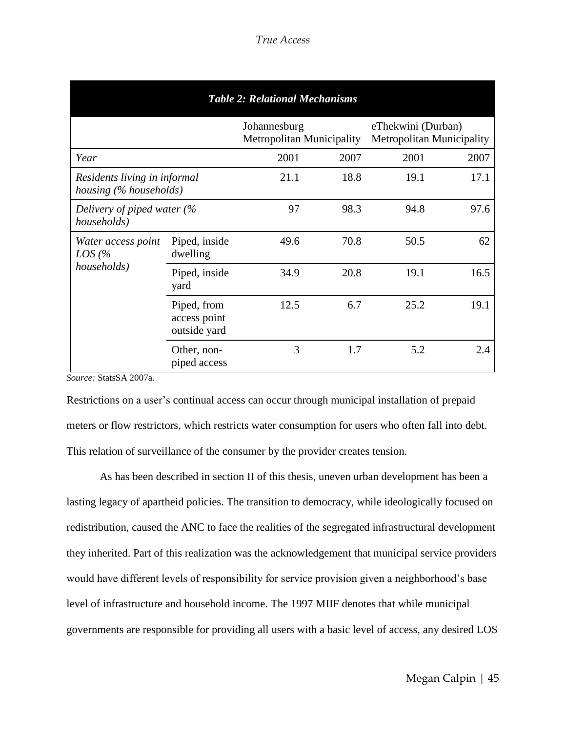| <b>Table 2: Relational Mechanisms</b>         |                                                                |                                                  |      |                                                        |      |
|-----------------------------------------------|----------------------------------------------------------------|--------------------------------------------------|------|--------------------------------------------------------|------|
|                                               |                                                                | Johannesburg<br><b>Metropolitan Municipality</b> |      | eThekwini (Durban)<br><b>Metropolitan Municipality</b> |      |
| Year                                          |                                                                | 2001                                             | 2007 | 2001                                                   | 2007 |
|                                               | 21.1<br>Residents living in informal<br>housing (% households) |                                                  | 18.8 | 19.1                                                   | 17.1 |
| Delivery of piped water (%<br>households)     |                                                                | 97                                               | 98.3 | 94.8                                                   | 97.6 |
| Water access point<br>$LOS$ (%<br>households) | Piped, inside<br>dwelling                                      | 49.6                                             | 70.8 | 50.5                                                   | 62   |
|                                               | Piped, inside<br>yard                                          | 34.9                                             | 20.8 | 19.1                                                   | 16.5 |
|                                               | Piped, from<br>access point<br>outside yard                    | 12.5                                             | 6.7  | 25.2                                                   | 19.1 |
|                                               | Other, non-<br>piped access                                    | 3                                                | 1.7  | 5.2                                                    | 2.4  |

*Source:* StatsSA 2007a.

Restrictions on a user's continual access can occur through municipal installation of prepaid meters or flow restrictors, which restricts water consumption for users who often fall into debt. This relation of surveillance of the consumer by the provider creates tension.

As has been described in section II of this thesis, uneven urban development has been a lasting legacy of apartheid policies. The transition to democracy, while ideologically focused on redistribution, caused the ANC to face the realities of the segregated infrastructural development they inherited. Part of this realization was the acknowledgement that municipal service providers would have different levels of responsibility for service provision given a neighborhood's base level of infrastructure and household income. The 1997 MIIF denotes that while municipal governments are responsible for providing all users with a basic level of access, any desired LOS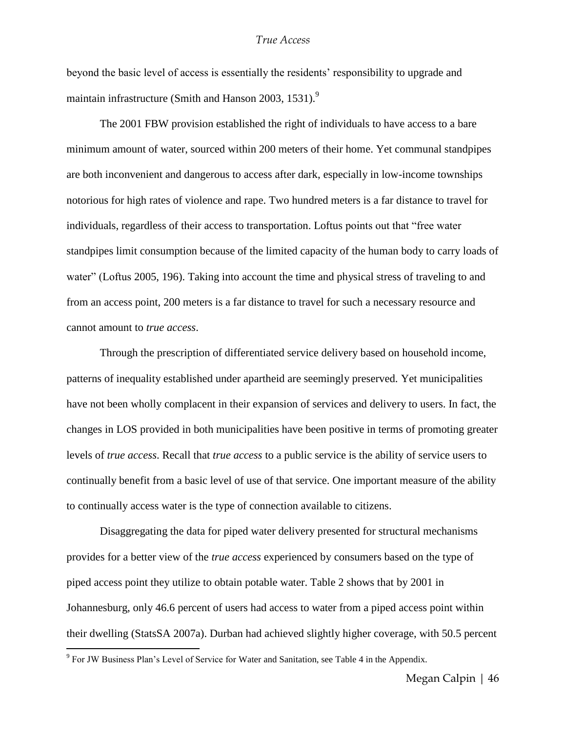beyond the basic level of access is essentially the residents' responsibility to upgrade and maintain infrastructure (Smith and Hanson 2003, 1531). $9$ 

The 2001 FBW provision established the right of individuals to have access to a bare minimum amount of water, sourced within 200 meters of their home. Yet communal standpipes are both inconvenient and dangerous to access after dark, especially in low-income townships notorious for high rates of violence and rape. Two hundred meters is a far distance to travel for individuals, regardless of their access to transportation. Loftus points out that "free water standpipes limit consumption because of the limited capacity of the human body to carry loads of water" (Loftus 2005, 196). Taking into account the time and physical stress of traveling to and from an access point, 200 meters is a far distance to travel for such a necessary resource and cannot amount to *true access*.

Through the prescription of differentiated service delivery based on household income, patterns of inequality established under apartheid are seemingly preserved. Yet municipalities have not been wholly complacent in their expansion of services and delivery to users. In fact, the changes in LOS provided in both municipalities have been positive in terms of promoting greater levels of *true access*. Recall that *true access* to a public service is the ability of service users to continually benefit from a basic level of use of that service. One important measure of the ability to continually access water is the type of connection available to citizens.

Disaggregating the data for piped water delivery presented for structural mechanisms provides for a better view of the *true access* experienced by consumers based on the type of piped access point they utilize to obtain potable water. Table 2 shows that by 2001 in Johannesburg, only 46.6 percent of users had access to water from a piped access point within their dwelling (StatsSA 2007a). Durban had achieved slightly higher coverage, with 50.5 percent

 $\overline{a}$ 

<sup>&</sup>lt;sup>9</sup> For JW Business Plan's Level of Service for Water and Sanitation, see Table 4 in the Appendix.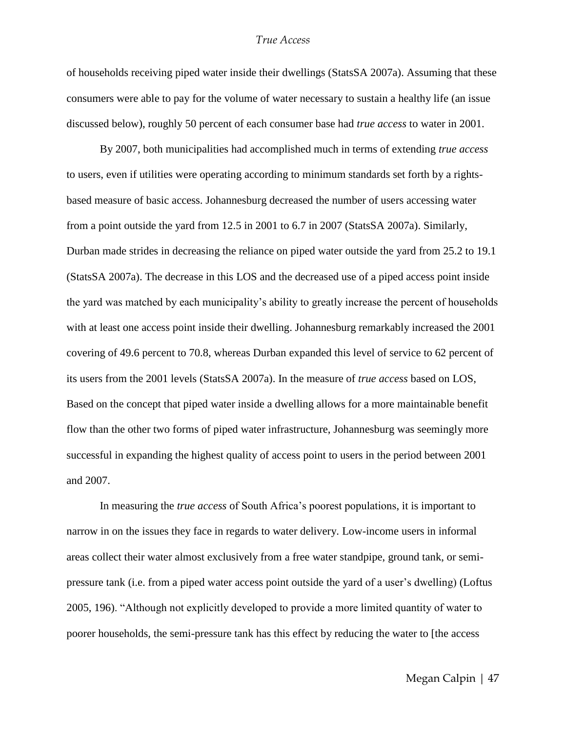of households receiving piped water inside their dwellings (StatsSA 2007a). Assuming that these consumers were able to pay for the volume of water necessary to sustain a healthy life (an issue discussed below), roughly 50 percent of each consumer base had *true access* to water in 2001.

By 2007, both municipalities had accomplished much in terms of extending *true access* to users, even if utilities were operating according to minimum standards set forth by a rightsbased measure of basic access. Johannesburg decreased the number of users accessing water from a point outside the yard from 12.5 in 2001 to 6.7 in 2007 (StatsSA 2007a). Similarly, Durban made strides in decreasing the reliance on piped water outside the yard from 25.2 to 19.1 (StatsSA 2007a). The decrease in this LOS and the decreased use of a piped access point inside the yard was matched by each municipality's ability to greatly increase the percent of households with at least one access point inside their dwelling. Johannesburg remarkably increased the 2001 covering of 49.6 percent to 70.8, whereas Durban expanded this level of service to 62 percent of its users from the 2001 levels (StatsSA 2007a). In the measure of *true access* based on LOS, Based on the concept that piped water inside a dwelling allows for a more maintainable benefit flow than the other two forms of piped water infrastructure, Johannesburg was seemingly more successful in expanding the highest quality of access point to users in the period between 2001 and 2007.

In measuring the *true access* of South Africa's poorest populations, it is important to narrow in on the issues they face in regards to water delivery. Low-income users in informal areas collect their water almost exclusively from a free water standpipe, ground tank, or semipressure tank (i.e. from a piped water access point outside the yard of a user's dwelling) (Loftus 2005, 196). "Although not explicitly developed to provide a more limited quantity of water to poorer households, the semi-pressure tank has this effect by reducing the water to [the access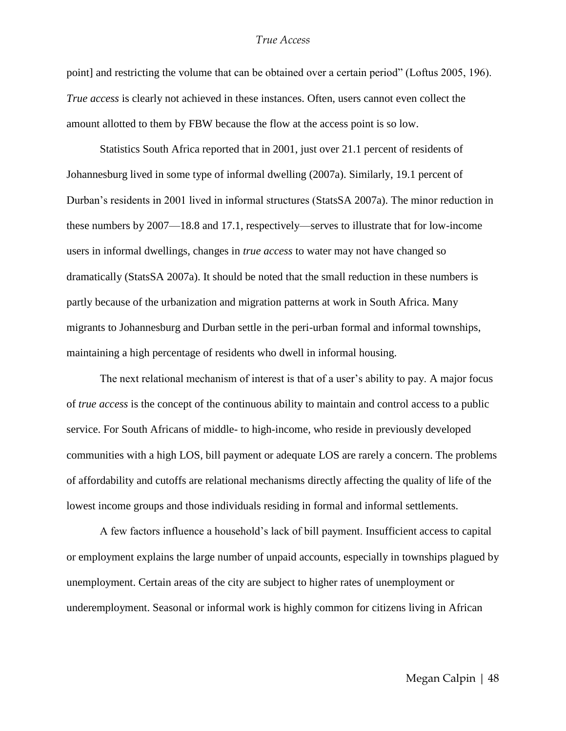point] and restricting the volume that can be obtained over a certain period" (Loftus 2005, 196). *True access* is clearly not achieved in these instances. Often, users cannot even collect the amount allotted to them by FBW because the flow at the access point is so low.

Statistics South Africa reported that in 2001, just over 21.1 percent of residents of Johannesburg lived in some type of informal dwelling (2007a). Similarly, 19.1 percent of Durban's residents in 2001 lived in informal structures (StatsSA 2007a). The minor reduction in these numbers by 2007—18.8 and 17.1, respectively—serves to illustrate that for low-income users in informal dwellings, changes in *true access* to water may not have changed so dramatically (StatsSA 2007a). It should be noted that the small reduction in these numbers is partly because of the urbanization and migration patterns at work in South Africa. Many migrants to Johannesburg and Durban settle in the peri-urban formal and informal townships, maintaining a high percentage of residents who dwell in informal housing.

The next relational mechanism of interest is that of a user's ability to pay. A major focus of *true access* is the concept of the continuous ability to maintain and control access to a public service. For South Africans of middle- to high-income, who reside in previously developed communities with a high LOS, bill payment or adequate LOS are rarely a concern. The problems of affordability and cutoffs are relational mechanisms directly affecting the quality of life of the lowest income groups and those individuals residing in formal and informal settlements.

A few factors influence a household's lack of bill payment. Insufficient access to capital or employment explains the large number of unpaid accounts, especially in townships plagued by unemployment. Certain areas of the city are subject to higher rates of unemployment or underemployment. Seasonal or informal work is highly common for citizens living in African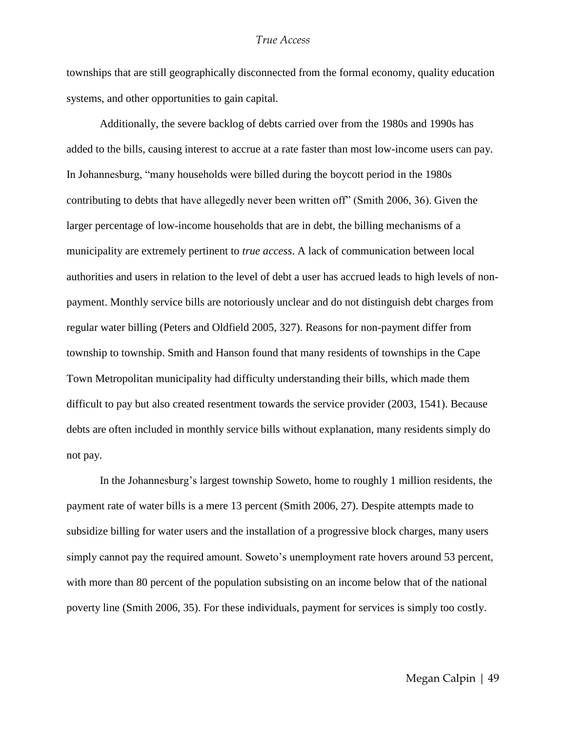townships that are still geographically disconnected from the formal economy, quality education systems, and other opportunities to gain capital.

Additionally, the severe backlog of debts carried over from the 1980s and 1990s has added to the bills, causing interest to accrue at a rate faster than most low-income users can pay. In Johannesburg, "many households were billed during the boycott period in the 1980s contributing to debts that have allegedly never been written off" (Smith 2006, 36). Given the larger percentage of low-income households that are in debt, the billing mechanisms of a municipality are extremely pertinent to *true access*. A lack of communication between local authorities and users in relation to the level of debt a user has accrued leads to high levels of nonpayment. Monthly service bills are notoriously unclear and do not distinguish debt charges from regular water billing (Peters and Oldfield 2005, 327). Reasons for non-payment differ from township to township. Smith and Hanson found that many residents of townships in the Cape Town Metropolitan municipality had difficulty understanding their bills, which made them difficult to pay but also created resentment towards the service provider (2003, 1541). Because debts are often included in monthly service bills without explanation, many residents simply do not pay.

In the Johannesburg's largest township Soweto, home to roughly 1 million residents, the payment rate of water bills is a mere 13 percent (Smith 2006, 27). Despite attempts made to subsidize billing for water users and the installation of a progressive block charges, many users simply cannot pay the required amount. Soweto's unemployment rate hovers around 53 percent, with more than 80 percent of the population subsisting on an income below that of the national poverty line (Smith 2006, 35). For these individuals, payment for services is simply too costly.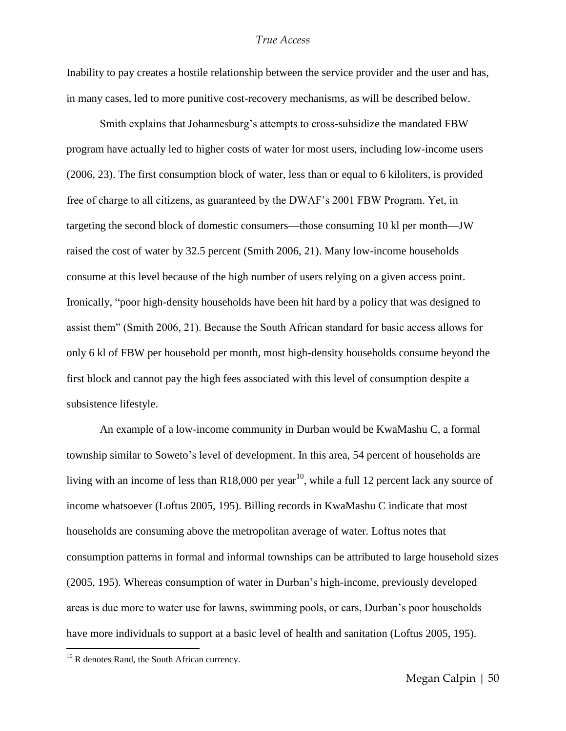Inability to pay creates a hostile relationship between the service provider and the user and has, in many cases, led to more punitive cost-recovery mechanisms, as will be described below.

Smith explains that Johannesburg's attempts to cross-subsidize the mandated FBW program have actually led to higher costs of water for most users, including low-income users (2006, 23). The first consumption block of water, less than or equal to 6 kiloliters, is provided free of charge to all citizens, as guaranteed by the DWAF's 2001 FBW Program. Yet, in targeting the second block of domestic consumers—those consuming 10 kl per month—JW raised the cost of water by 32.5 percent (Smith 2006, 21). Many low-income households consume at this level because of the high number of users relying on a given access point. Ironically, "poor high-density households have been hit hard by a policy that was designed to assist them" (Smith 2006, 21). Because the South African standard for basic access allows for only 6 kl of FBW per household per month, most high-density households consume beyond the first block and cannot pay the high fees associated with this level of consumption despite a subsistence lifestyle.

An example of a low-income community in Durban would be KwaMashu C, a formal township similar to Soweto's level of development. In this area, 54 percent of households are living with an income of less than R18,000 per year<sup>10</sup>, while a full 12 percent lack any source of income whatsoever (Loftus 2005, 195). Billing records in KwaMashu C indicate that most households are consuming above the metropolitan average of water. Loftus notes that consumption patterns in formal and informal townships can be attributed to large household sizes (2005, 195). Whereas consumption of water in Durban's high-income, previously developed areas is due more to water use for lawns, swimming pools, or cars, Durban's poor households have more individuals to support at a basic level of health and sanitation (Loftus 2005, 195).

 $\overline{a}$ 

 $10$  R denotes Rand, the South African currency.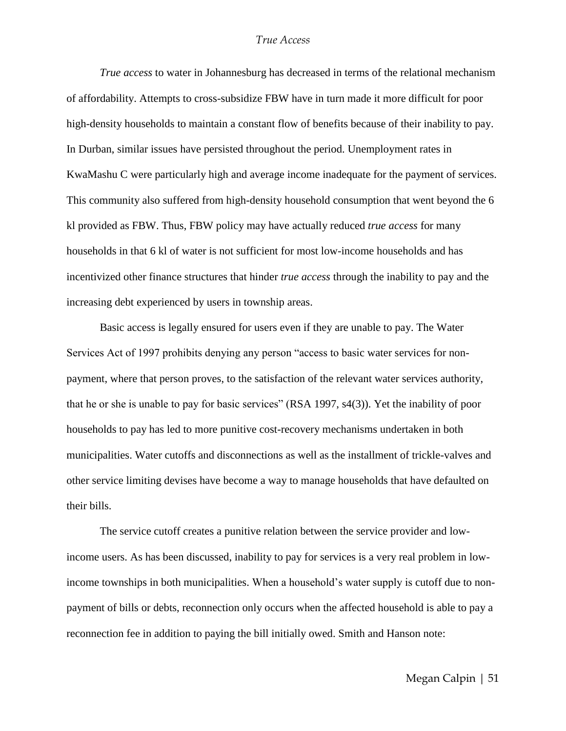*True access* to water in Johannesburg has decreased in terms of the relational mechanism of affordability. Attempts to cross-subsidize FBW have in turn made it more difficult for poor high-density households to maintain a constant flow of benefits because of their inability to pay. In Durban, similar issues have persisted throughout the period. Unemployment rates in KwaMashu C were particularly high and average income inadequate for the payment of services. This community also suffered from high-density household consumption that went beyond the 6 kl provided as FBW. Thus, FBW policy may have actually reduced *true access* for many households in that 6 kl of water is not sufficient for most low-income households and has incentivized other finance structures that hinder *true access* through the inability to pay and the increasing debt experienced by users in township areas.

Basic access is legally ensured for users even if they are unable to pay. The Water Services Act of 1997 prohibits denying any person "access to basic water services for nonpayment, where that person proves, to the satisfaction of the relevant water services authority, that he or she is unable to pay for basic services" (RSA 1997, s4(3)). Yet the inability of poor households to pay has led to more punitive cost-recovery mechanisms undertaken in both municipalities. Water cutoffs and disconnections as well as the installment of trickle-valves and other service limiting devises have become a way to manage households that have defaulted on their bills.

The service cutoff creates a punitive relation between the service provider and lowincome users. As has been discussed, inability to pay for services is a very real problem in lowincome townships in both municipalities. When a household's water supply is cutoff due to nonpayment of bills or debts, reconnection only occurs when the affected household is able to pay a reconnection fee in addition to paying the bill initially owed. Smith and Hanson note: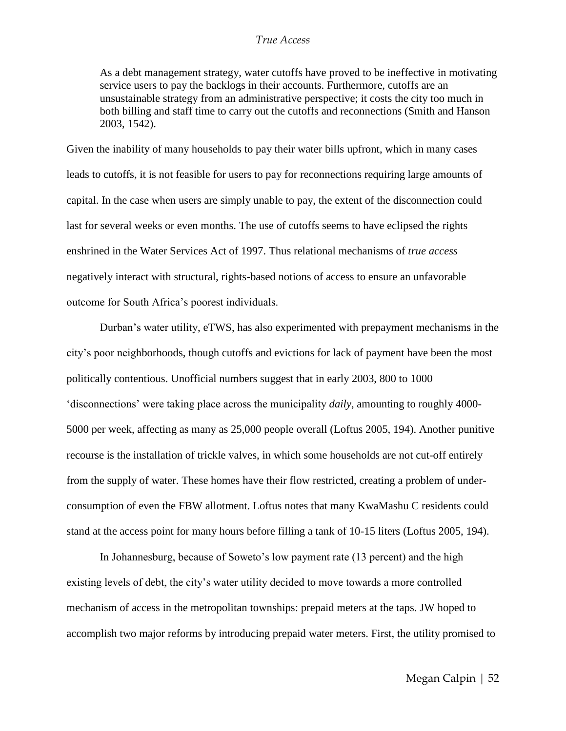As a debt management strategy, water cutoffs have proved to be ineffective in motivating service users to pay the backlogs in their accounts. Furthermore, cutoffs are an unsustainable strategy from an administrative perspective; it costs the city too much in both billing and staff time to carry out the cutoffs and reconnections (Smith and Hanson 2003, 1542).

Given the inability of many households to pay their water bills upfront, which in many cases leads to cutoffs, it is not feasible for users to pay for reconnections requiring large amounts of capital. In the case when users are simply unable to pay, the extent of the disconnection could last for several weeks or even months. The use of cutoffs seems to have eclipsed the rights enshrined in the Water Services Act of 1997. Thus relational mechanisms of *true access* negatively interact with structural, rights-based notions of access to ensure an unfavorable outcome for South Africa's poorest individuals.

Durban's water utility, eTWS, has also experimented with prepayment mechanisms in the city's poor neighborhoods, though cutoffs and evictions for lack of payment have been the most politically contentious. Unofficial numbers suggest that in early 2003, 800 to 1000 ‗disconnections' were taking place across the municipality *daily*, amounting to roughly 4000- 5000 per week, affecting as many as 25,000 people overall (Loftus 2005, 194). Another punitive recourse is the installation of trickle valves, in which some households are not cut-off entirely from the supply of water. These homes have their flow restricted, creating a problem of underconsumption of even the FBW allotment. Loftus notes that many KwaMashu C residents could stand at the access point for many hours before filling a tank of 10-15 liters (Loftus 2005, 194).

In Johannesburg, because of Soweto's low payment rate (13 percent) and the high existing levels of debt, the city's water utility decided to move towards a more controlled mechanism of access in the metropolitan townships: prepaid meters at the taps. JW hoped to accomplish two major reforms by introducing prepaid water meters. First, the utility promised to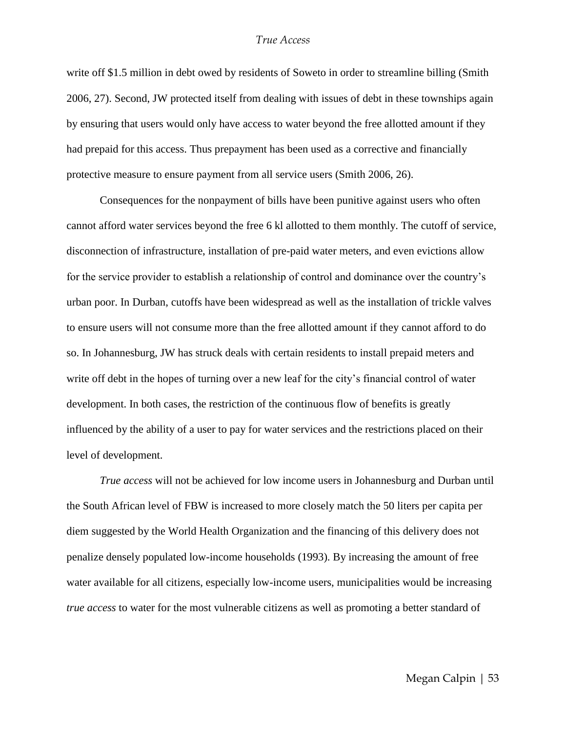write off \$1.5 million in debt owed by residents of Soweto in order to streamline billing (Smith 2006, 27). Second, JW protected itself from dealing with issues of debt in these townships again by ensuring that users would only have access to water beyond the free allotted amount if they had prepaid for this access. Thus prepayment has been used as a corrective and financially protective measure to ensure payment from all service users (Smith 2006, 26).

Consequences for the nonpayment of bills have been punitive against users who often cannot afford water services beyond the free 6 kl allotted to them monthly. The cutoff of service, disconnection of infrastructure, installation of pre-paid water meters, and even evictions allow for the service provider to establish a relationship of control and dominance over the country's urban poor. In Durban, cutoffs have been widespread as well as the installation of trickle valves to ensure users will not consume more than the free allotted amount if they cannot afford to do so. In Johannesburg, JW has struck deals with certain residents to install prepaid meters and write off debt in the hopes of turning over a new leaf for the city's financial control of water development. In both cases, the restriction of the continuous flow of benefits is greatly influenced by the ability of a user to pay for water services and the restrictions placed on their level of development.

*True access* will not be achieved for low income users in Johannesburg and Durban until the South African level of FBW is increased to more closely match the 50 liters per capita per diem suggested by the World Health Organization and the financing of this delivery does not penalize densely populated low-income households (1993). By increasing the amount of free water available for all citizens, especially low-income users, municipalities would be increasing *true access* to water for the most vulnerable citizens as well as promoting a better standard of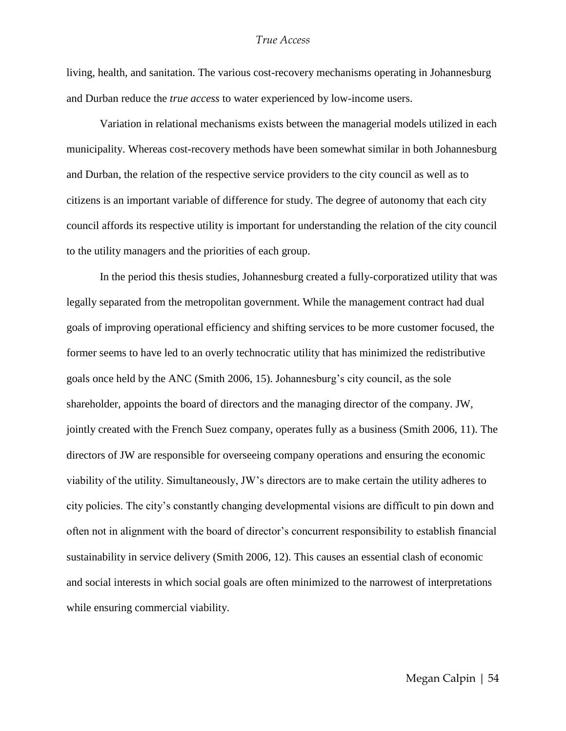living, health, and sanitation. The various cost-recovery mechanisms operating in Johannesburg and Durban reduce the *true access* to water experienced by low-income users.

Variation in relational mechanisms exists between the managerial models utilized in each municipality. Whereas cost-recovery methods have been somewhat similar in both Johannesburg and Durban, the relation of the respective service providers to the city council as well as to citizens is an important variable of difference for study. The degree of autonomy that each city council affords its respective utility is important for understanding the relation of the city council to the utility managers and the priorities of each group.

In the period this thesis studies, Johannesburg created a fully-corporatized utility that was legally separated from the metropolitan government. While the management contract had dual goals of improving operational efficiency and shifting services to be more customer focused, the former seems to have led to an overly technocratic utility that has minimized the redistributive goals once held by the ANC (Smith 2006, 15). Johannesburg's city council, as the sole shareholder, appoints the board of directors and the managing director of the company. JW, jointly created with the French Suez company, operates fully as a business (Smith 2006, 11). The directors of JW are responsible for overseeing company operations and ensuring the economic viability of the utility. Simultaneously, JW's directors are to make certain the utility adheres to city policies. The city's constantly changing developmental visions are difficult to pin down and often not in alignment with the board of director's concurrent responsibility to establish financial sustainability in service delivery (Smith 2006, 12). This causes an essential clash of economic and social interests in which social goals are often minimized to the narrowest of interpretations while ensuring commercial viability.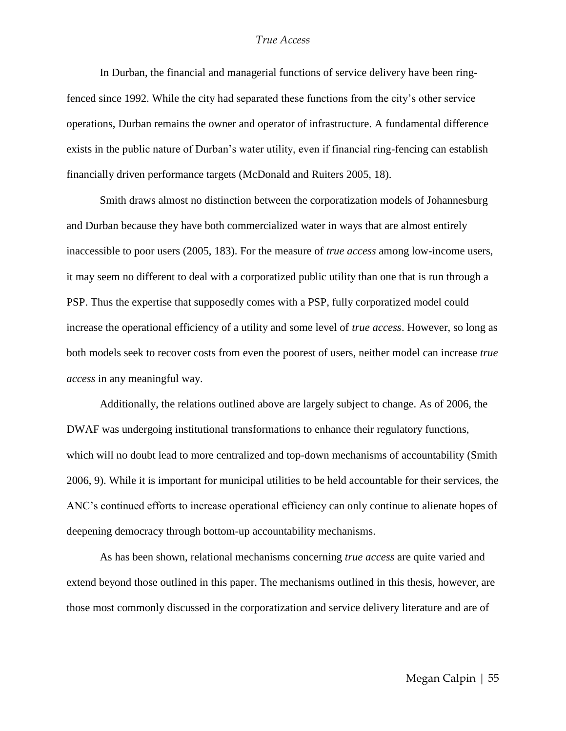In Durban, the financial and managerial functions of service delivery have been ringfenced since 1992. While the city had separated these functions from the city's other service operations, Durban remains the owner and operator of infrastructure. A fundamental difference exists in the public nature of Durban's water utility, even if financial ring-fencing can establish financially driven performance targets (McDonald and Ruiters 2005, 18).

Smith draws almost no distinction between the corporatization models of Johannesburg and Durban because they have both commercialized water in ways that are almost entirely inaccessible to poor users (2005, 183). For the measure of *true access* among low-income users, it may seem no different to deal with a corporatized public utility than one that is run through a PSP. Thus the expertise that supposedly comes with a PSP, fully corporatized model could increase the operational efficiency of a utility and some level of *true access*. However, so long as both models seek to recover costs from even the poorest of users, neither model can increase *true access* in any meaningful way.

Additionally, the relations outlined above are largely subject to change. As of 2006, the DWAF was undergoing institutional transformations to enhance their regulatory functions, which will no doubt lead to more centralized and top-down mechanisms of accountability (Smith 2006, 9). While it is important for municipal utilities to be held accountable for their services, the ANC's continued efforts to increase operational efficiency can only continue to alienate hopes of deepening democracy through bottom-up accountability mechanisms.

As has been shown, relational mechanisms concerning *true access* are quite varied and extend beyond those outlined in this paper. The mechanisms outlined in this thesis, however, are those most commonly discussed in the corporatization and service delivery literature and are of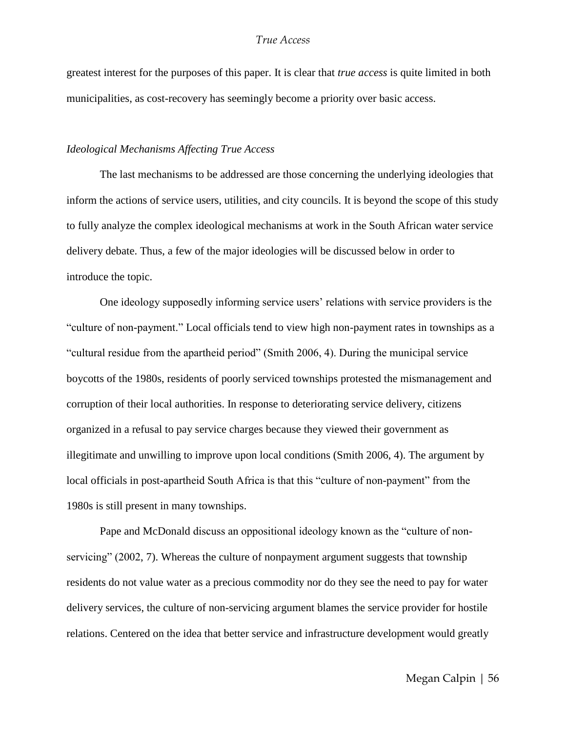greatest interest for the purposes of this paper. It is clear that *true access* is quite limited in both municipalities, as cost-recovery has seemingly become a priority over basic access.

#### *Ideological Mechanisms Affecting True Access*

The last mechanisms to be addressed are those concerning the underlying ideologies that inform the actions of service users, utilities, and city councils. It is beyond the scope of this study to fully analyze the complex ideological mechanisms at work in the South African water service delivery debate. Thus, a few of the major ideologies will be discussed below in order to introduce the topic.

One ideology supposedly informing service users' relations with service providers is the "culture of non-payment." Local officials tend to view high non-payment rates in townships as a "cultural residue from the apartheid period" (Smith 2006, 4). During the municipal service boycotts of the 1980s, residents of poorly serviced townships protested the mismanagement and corruption of their local authorities. In response to deteriorating service delivery, citizens organized in a refusal to pay service charges because they viewed their government as illegitimate and unwilling to improve upon local conditions (Smith 2006, 4). The argument by local officials in post-apartheid South Africa is that this "culture of non-payment" from the 1980s is still present in many townships.

Pape and McDonald discuss an oppositional ideology known as the "culture of nonservicing" (2002, 7). Whereas the culture of nonpayment argument suggests that township residents do not value water as a precious commodity nor do they see the need to pay for water delivery services, the culture of non-servicing argument blames the service provider for hostile relations. Centered on the idea that better service and infrastructure development would greatly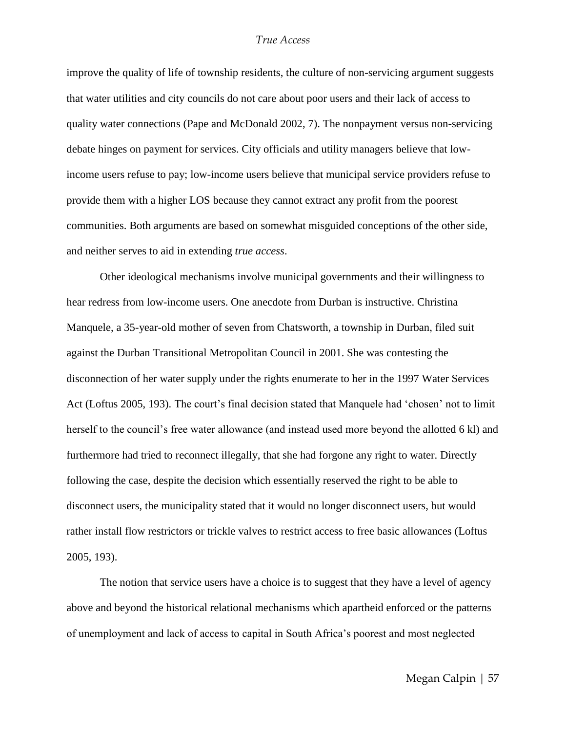improve the quality of life of township residents, the culture of non-servicing argument suggests that water utilities and city councils do not care about poor users and their lack of access to quality water connections (Pape and McDonald 2002, 7). The nonpayment versus non-servicing debate hinges on payment for services. City officials and utility managers believe that lowincome users refuse to pay; low-income users believe that municipal service providers refuse to provide them with a higher LOS because they cannot extract any profit from the poorest communities. Both arguments are based on somewhat misguided conceptions of the other side, and neither serves to aid in extending *true access*.

Other ideological mechanisms involve municipal governments and their willingness to hear redress from low-income users. One anecdote from Durban is instructive. Christina Manquele, a 35-year-old mother of seven from Chatsworth, a township in Durban, filed suit against the Durban Transitional Metropolitan Council in 2001. She was contesting the disconnection of her water supply under the rights enumerate to her in the 1997 Water Services Act (Loftus 2005, 193). The court's final decision stated that Manquele had ‗chosen' not to limit herself to the council's free water allowance (and instead used more beyond the allotted 6 kl) and furthermore had tried to reconnect illegally, that she had forgone any right to water. Directly following the case, despite the decision which essentially reserved the right to be able to disconnect users, the municipality stated that it would no longer disconnect users, but would rather install flow restrictors or trickle valves to restrict access to free basic allowances (Loftus 2005, 193).

The notion that service users have a choice is to suggest that they have a level of agency above and beyond the historical relational mechanisms which apartheid enforced or the patterns of unemployment and lack of access to capital in South Africa's poorest and most neglected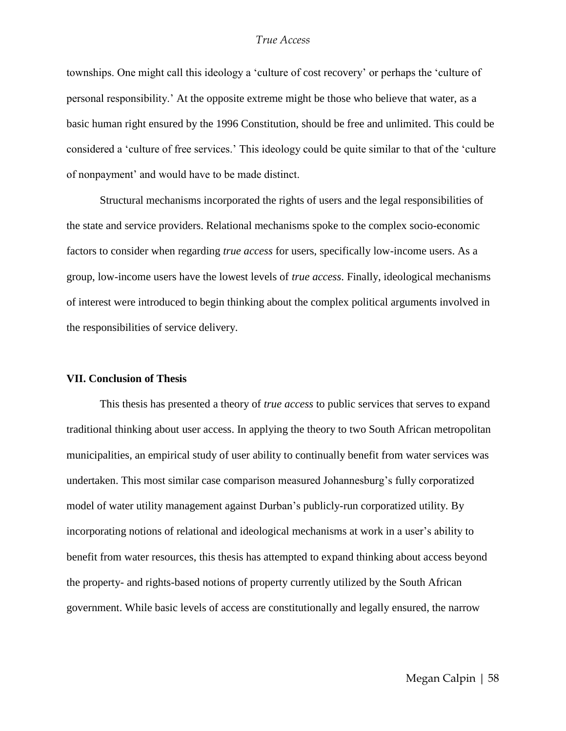townships. One might call this ideology a 'culture of cost recovery' or perhaps the 'culture of personal responsibility.' At the opposite extreme might be those who believe that water, as a basic human right ensured by the 1996 Constitution, should be free and unlimited. This could be considered a 'culture of free services.' This ideology could be quite similar to that of the 'culture' of nonpayment' and would have to be made distinct.

Structural mechanisms incorporated the rights of users and the legal responsibilities of the state and service providers. Relational mechanisms spoke to the complex socio-economic factors to consider when regarding *true access* for users, specifically low-income users. As a group, low-income users have the lowest levels of *true access*. Finally, ideological mechanisms of interest were introduced to begin thinking about the complex political arguments involved in the responsibilities of service delivery.

#### **VII. Conclusion of Thesis**

This thesis has presented a theory of *true access* to public services that serves to expand traditional thinking about user access. In applying the theory to two South African metropolitan municipalities, an empirical study of user ability to continually benefit from water services was undertaken. This most similar case comparison measured Johannesburg's fully corporatized model of water utility management against Durban's publicly-run corporatized utility. By incorporating notions of relational and ideological mechanisms at work in a user's ability to benefit from water resources, this thesis has attempted to expand thinking about access beyond the property- and rights-based notions of property currently utilized by the South African government. While basic levels of access are constitutionally and legally ensured, the narrow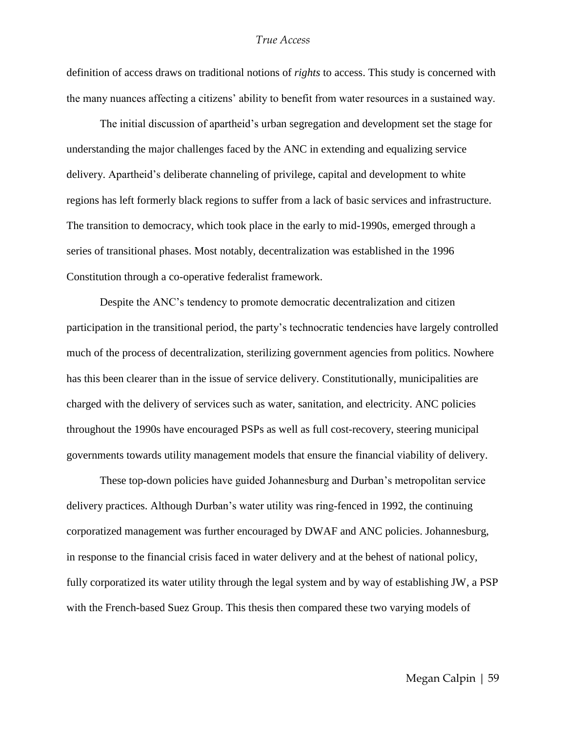definition of access draws on traditional notions of *rights* to access. This study is concerned with the many nuances affecting a citizens' ability to benefit from water resources in a sustained way.

The initial discussion of apartheid's urban segregation and development set the stage for understanding the major challenges faced by the ANC in extending and equalizing service delivery. Apartheid's deliberate channeling of privilege, capital and development to white regions has left formerly black regions to suffer from a lack of basic services and infrastructure. The transition to democracy, which took place in the early to mid-1990s, emerged through a series of transitional phases. Most notably, decentralization was established in the 1996 Constitution through a co-operative federalist framework.

Despite the ANC's tendency to promote democratic decentralization and citizen participation in the transitional period, the party's technocratic tendencies have largely controlled much of the process of decentralization, sterilizing government agencies from politics. Nowhere has this been clearer than in the issue of service delivery. Constitutionally, municipalities are charged with the delivery of services such as water, sanitation, and electricity. ANC policies throughout the 1990s have encouraged PSPs as well as full cost-recovery, steering municipal governments towards utility management models that ensure the financial viability of delivery.

These top-down policies have guided Johannesburg and Durban's metropolitan service delivery practices. Although Durban's water utility was ring-fenced in 1992, the continuing corporatized management was further encouraged by DWAF and ANC policies. Johannesburg, in response to the financial crisis faced in water delivery and at the behest of national policy, fully corporatized its water utility through the legal system and by way of establishing JW, a PSP with the French-based Suez Group. This thesis then compared these two varying models of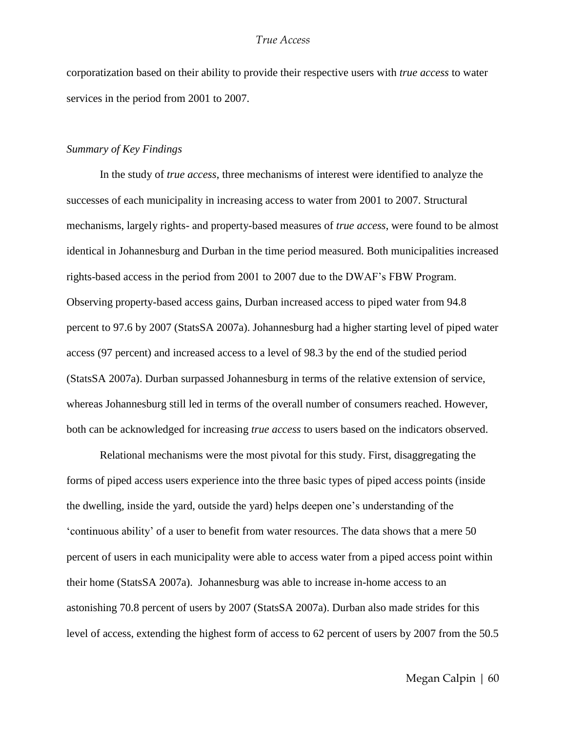corporatization based on their ability to provide their respective users with *true access* to water services in the period from 2001 to 2007.

#### *Summary of Key Findings*

In the study of *true access*, three mechanisms of interest were identified to analyze the successes of each municipality in increasing access to water from 2001 to 2007. Structural mechanisms, largely rights- and property-based measures of *true access*, were found to be almost identical in Johannesburg and Durban in the time period measured. Both municipalities increased rights-based access in the period from 2001 to 2007 due to the DWAF's FBW Program. Observing property-based access gains, Durban increased access to piped water from 94.8 percent to 97.6 by 2007 (StatsSA 2007a). Johannesburg had a higher starting level of piped water access (97 percent) and increased access to a level of 98.3 by the end of the studied period (StatsSA 2007a). Durban surpassed Johannesburg in terms of the relative extension of service, whereas Johannesburg still led in terms of the overall number of consumers reached. However, both can be acknowledged for increasing *true access* to users based on the indicators observed.

Relational mechanisms were the most pivotal for this study. First, disaggregating the forms of piped access users experience into the three basic types of piped access points (inside the dwelling, inside the yard, outside the yard) helps deepen one's understanding of the ‗continuous ability' of a user to benefit from water resources. The data shows that a mere 50 percent of users in each municipality were able to access water from a piped access point within their home (StatsSA 2007a). Johannesburg was able to increase in-home access to an astonishing 70.8 percent of users by 2007 (StatsSA 2007a). Durban also made strides for this level of access, extending the highest form of access to 62 percent of users by 2007 from the 50.5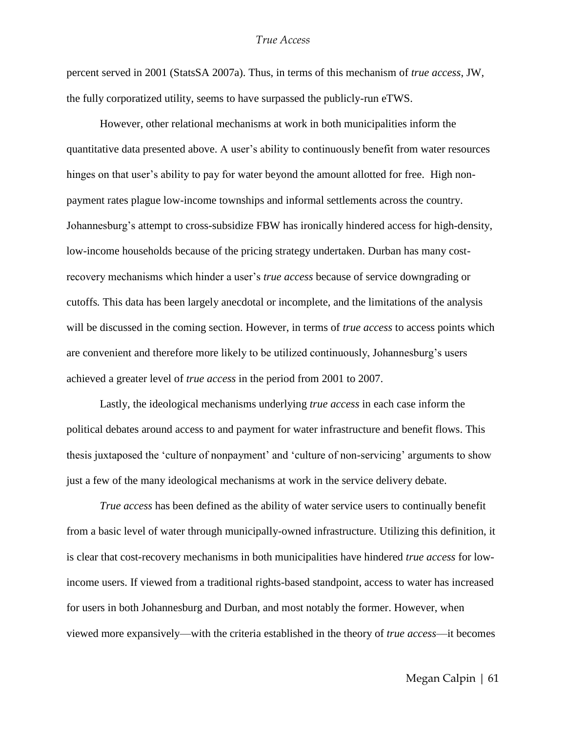percent served in 2001 (StatsSA 2007a). Thus, in terms of this mechanism of *true access*, JW, the fully corporatized utility, seems to have surpassed the publicly-run eTWS.

However, other relational mechanisms at work in both municipalities inform the quantitative data presented above. A user's ability to continuously benefit from water resources hinges on that user's ability to pay for water beyond the amount allotted for free. High nonpayment rates plague low-income townships and informal settlements across the country. Johannesburg's attempt to cross-subsidize FBW has ironically hindered access for high-density, low-income households because of the pricing strategy undertaken. Durban has many costrecovery mechanisms which hinder a user's *true access* because of service downgrading or cutoffs*.* This data has been largely anecdotal or incomplete, and the limitations of the analysis will be discussed in the coming section. However, in terms of *true access* to access points which are convenient and therefore more likely to be utilized continuously, Johannesburg's users achieved a greater level of *true access* in the period from 2001 to 2007.

Lastly, the ideological mechanisms underlying *true access* in each case inform the political debates around access to and payment for water infrastructure and benefit flows. This thesis juxtaposed the 'culture of nonpayment' and 'culture of non-servicing' arguments to show just a few of the many ideological mechanisms at work in the service delivery debate.

*True access* has been defined as the ability of water service users to continually benefit from a basic level of water through municipally-owned infrastructure. Utilizing this definition, it is clear that cost-recovery mechanisms in both municipalities have hindered *true access* for lowincome users. If viewed from a traditional rights-based standpoint, access to water has increased for users in both Johannesburg and Durban, and most notably the former. However, when viewed more expansively—with the criteria established in the theory of *true access*—it becomes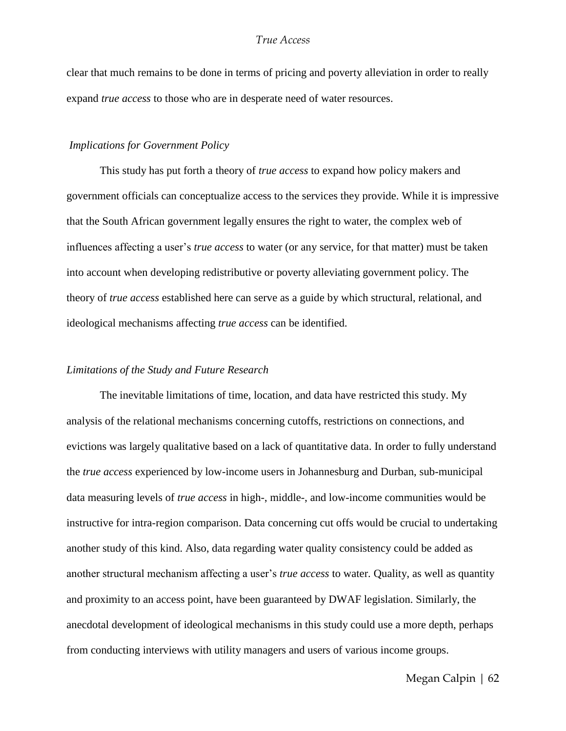clear that much remains to be done in terms of pricing and poverty alleviation in order to really expand *true access* to those who are in desperate need of water resources.

#### *Implications for Government Policy*

This study has put forth a theory of *true access* to expand how policy makers and government officials can conceptualize access to the services they provide. While it is impressive that the South African government legally ensures the right to water, the complex web of influences affecting a user's *true access* to water (or any service, for that matter) must be taken into account when developing redistributive or poverty alleviating government policy. The theory of *true access* established here can serve as a guide by which structural, relational, and ideological mechanisms affecting *true access* can be identified.

#### *Limitations of the Study and Future Research*

The inevitable limitations of time, location, and data have restricted this study. My analysis of the relational mechanisms concerning cutoffs, restrictions on connections, and evictions was largely qualitative based on a lack of quantitative data. In order to fully understand the *true access* experienced by low-income users in Johannesburg and Durban, sub-municipal data measuring levels of *true access* in high-, middle-, and low-income communities would be instructive for intra-region comparison. Data concerning cut offs would be crucial to undertaking another study of this kind. Also, data regarding water quality consistency could be added as another structural mechanism affecting a user's *true access* to water. Quality, as well as quantity and proximity to an access point, have been guaranteed by DWAF legislation. Similarly, the anecdotal development of ideological mechanisms in this study could use a more depth, perhaps from conducting interviews with utility managers and users of various income groups.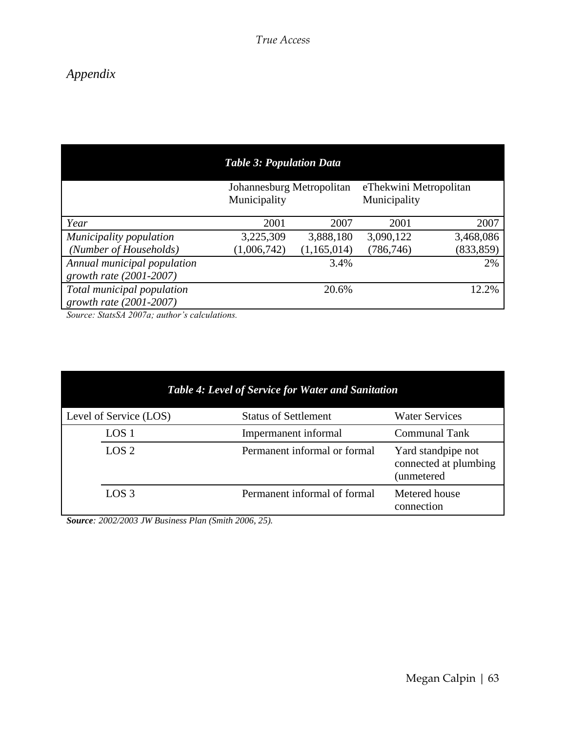### *Appendix*

|                                                            | <b>Table 3: Population Data</b>           |             |                                        |            |
|------------------------------------------------------------|-------------------------------------------|-------------|----------------------------------------|------------|
|                                                            | Johannesburg Metropolitan<br>Municipality |             | eThekwini Metropolitan<br>Municipality |            |
| Year                                                       | 2001                                      | 2007        | 2001                                   | 2007       |
| Municipality population                                    | 3,225,309                                 | 3,888,180   | 3,090,122                              | 3,468,086  |
| (Number of Households)                                     | (1,006,742)                               | (1,165,014) | (786, 746)                             | (833, 859) |
| Annual municipal population<br>growth rate $(2001 - 2007)$ |                                           | 3.4%        |                                        | 2%         |
| Total municipal population<br>growth rate $(2001 - 2007)$  |                                           | 20.6%       |                                        | 12.2%      |

*Source: StatsSA 2007a; author's calculations.*

| <b>Table 4: Level of Service for Water and Sanitation</b> |                              |                                                          |  |
|-----------------------------------------------------------|------------------------------|----------------------------------------------------------|--|
| Level of Service (LOS)                                    | <b>Status of Settlement</b>  | <b>Water Services</b>                                    |  |
| LOS <sub>1</sub>                                          | Impermanent informal         | <b>Communal Tank</b>                                     |  |
| LOS <sub>2</sub>                                          | Permanent informal or formal | Yard standpipe not<br>connected at plumbing<br>unmetered |  |
| LOS <sub>3</sub>                                          | Permanent informal of formal | Metered house<br>connection                              |  |

*Source: 2002/2003 JW Business Plan (Smith 2006, 25).*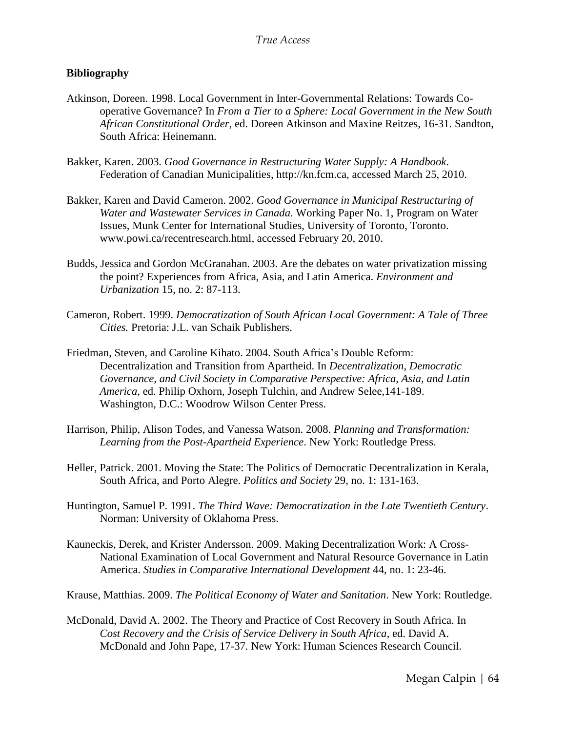#### **Bibliography**

- Atkinson, Doreen. 1998. Local Government in Inter-Governmental Relations: Towards Cooperative Governance? In *From a Tier to a Sphere: Local Government in the New South African Constitutional Order*, ed. Doreen Atkinson and Maxine Reitzes, 16-31. Sandton, South Africa: Heinemann.
- Bakker, Karen. 2003. *Good Governance in Restructuring Water Supply: A Handbook*. Federation of Canadian Municipalities, http://kn.fcm.ca, accessed March 25, 2010.
- Bakker, Karen and David Cameron. 2002. *Good Governance in Municipal Restructuring of Water and Wastewater Services in Canada.* Working Paper No. 1, Program on Water Issues, Munk Center for International Studies, University of Toronto, Toronto. www.powi.ca/recentresearch.html, accessed February 20, 2010.
- Budds, Jessica and Gordon McGranahan. 2003. Are the debates on water privatization missing the point? Experiences from Africa, Asia, and Latin America. *Environment and Urbanization* 15, no. 2: 87-113.
- Cameron, Robert. 1999. *Democratization of South African Local Government: A Tale of Three Cities.* Pretoria: J.L. van Schaik Publishers.
- Friedman, Steven, and Caroline Kihato. 2004. South Africa's Double Reform: Decentralization and Transition from Apartheid. In *Decentralization, Democratic Governance, and Civil Society in Comparative Perspective: Africa, Asia, and Latin America*, ed. Philip Oxhorn, Joseph Tulchin, and Andrew Selee,141-189. Washington, D.C.: Woodrow Wilson Center Press.
- Harrison, Philip, Alison Todes, and Vanessa Watson. 2008. *Planning and Transformation: Learning from the Post-Apartheid Experience*. New York: Routledge Press.
- Heller, Patrick. 2001. Moving the State: The Politics of Democratic Decentralization in Kerala, South Africa, and Porto Alegre. *Politics and Society* 29, no. 1: 131-163.
- Huntington, Samuel P. 1991. *The Third Wave: Democratization in the Late Twentieth Century*. Norman: University of Oklahoma Press.
- Kauneckis, Derek, and Krister Andersson. 2009. Making Decentralization Work: A Cross-National Examination of Local Government and Natural Resource Governance in Latin America. *Studies in Comparative International Development* 44, no. 1: 23-46.
- Krause, Matthias. 2009. *The Political Economy of Water and Sanitation*. New York: Routledge.
- McDonald, David A. 2002. The Theory and Practice of Cost Recovery in South Africa. In *Cost Recovery and the Crisis of Service Delivery in South Africa*, ed. David A. McDonald and John Pape, 17-37*.* New York: Human Sciences Research Council.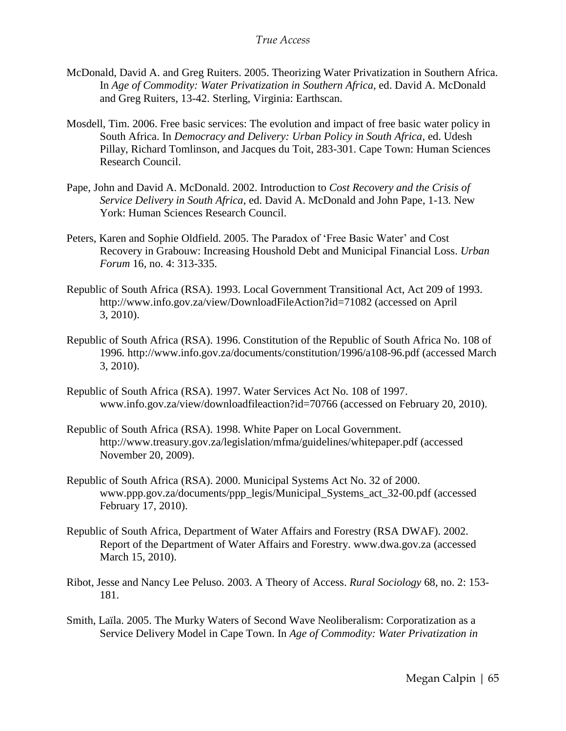- McDonald, David A. and Greg Ruiters. 2005. Theorizing Water Privatization in Southern Africa. In *Age of Commodity: Water Privatization in Southern Africa*, ed. David A. McDonald and Greg Ruiters, 13-42. Sterling, Virginia: Earthscan.
- Mosdell, Tim. 2006. Free basic services: The evolution and impact of free basic water policy in South Africa. In *Democracy and Delivery: Urban Policy in South Africa*, ed. Udesh Pillay, Richard Tomlinson, and Jacques du Toit, 283-301. Cape Town: Human Sciences Research Council.
- Pape, John and David A. McDonald. 2002. Introduction to *Cost Recovery and the Crisis of Service Delivery in South Africa*, ed. David A. McDonald and John Pape, 1-13*.* New York: Human Sciences Research Council.
- Peters, Karen and Sophie Oldfield. 2005. The Paradox of 'Free Basic Water' and Cost Recovery in Grabouw: Increasing Houshold Debt and Municipal Financial Loss. *Urban Forum* 16, no. 4: 313-335.
- Republic of South Africa (RSA). 1993. Local Government Transitional Act, Act 209 of 1993. http://www.info.gov.za/view/DownloadFileAction?id=71082 (accessed on April 3, 2010).
- Republic of South Africa (RSA). 1996. Constitution of the Republic of South Africa No. 108 of 1996*.* http://www.info.gov.za/documents/constitution/1996/a108-96.pdf (accessed March 3, 2010).
- Republic of South Africa (RSA). 1997. Water Services Act No. 108 of 1997. www.info.gov.za/view/downloadfileaction?id=70766 (accessed on February 20, 2010).
- Republic of South Africa (RSA). 1998. White Paper on Local Government. http://www.treasury.gov.za/legislation/mfma/guidelines/whitepaper.pdf (accessed November 20, 2009).
- Republic of South Africa (RSA). 2000. Municipal Systems Act No. 32 of 2000. www.ppp.gov.za/documents/ppp\_legis/Municipal\_Systems\_act\_32-00.pdf (accessed February 17, 2010).
- Republic of South Africa, Department of Water Affairs and Forestry (RSA DWAF). 2002. Report of the Department of Water Affairs and Forestry. www.dwa.gov.za (accessed March 15, 2010).
- Ribot, Jesse and Nancy Lee Peluso. 2003. A Theory of Access. *Rural Sociology* 68, no. 2: 153- 181.
- Smith, Laïla. 2005. The Murky Waters of Second Wave Neoliberalism: Corporatization as a Service Delivery Model in Cape Town. In *Age of Commodity: Water Privatization in*